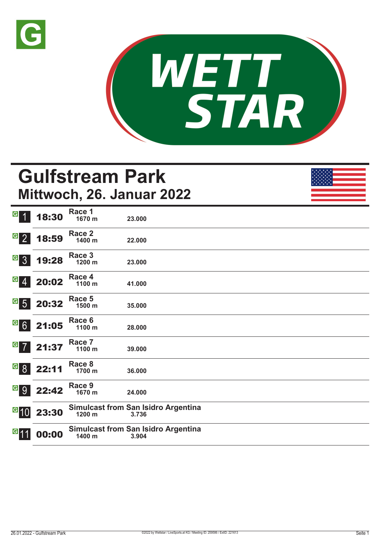



# **Gulfstream Park Mittwoch, 26. Januar 2022**

| $\overline{G}$                                                   | 18:30                                                                     | Race 1<br>1670 m | 23.000                                              |
|------------------------------------------------------------------|---------------------------------------------------------------------------|------------------|-----------------------------------------------------|
| $\begin{array}{ c c } \hline \text{G} & 2 \\ \hline \end{array}$ | 18:59                                                                     | Race 2<br>1400 m | 22.000                                              |
| $G_{3}$                                                          | 19:28                                                                     | Race 3<br>1200 m | 23.000                                              |
| $ G $ $ A $                                                      | 20:02                                                                     | Race 4<br>1100 m | 41.000                                              |
| $G_{5}$                                                          | 20:32                                                                     | Race 5<br>1500 m | 35.000                                              |
|                                                                  | $G$ 6 21:05                                                               | Race 6<br>1100 m | 28.000                                              |
|                                                                  | $\begin{array}{ c c c }\n \hline\n \text{G} & \text{21:37}\n \end{array}$ | Race 7<br>1100 m | 39.000                                              |
| <sup>G</sup> 8                                                   | 22:11                                                                     | Race 8<br>1700 m | 36.000                                              |
|                                                                  | G 9 22:42                                                                 | Race 9<br>1670 m | 24.000                                              |
| $\overline{G}$ 10                                                | 23:30                                                                     | 1200 m           | <b>Simulcast from San Isidro Argentina</b><br>3.736 |
| G <sub>11</sub>                                                  | 00:00                                                                     | 1400 m           | <b>Simulcast from San Isidro Argentina</b><br>3.904 |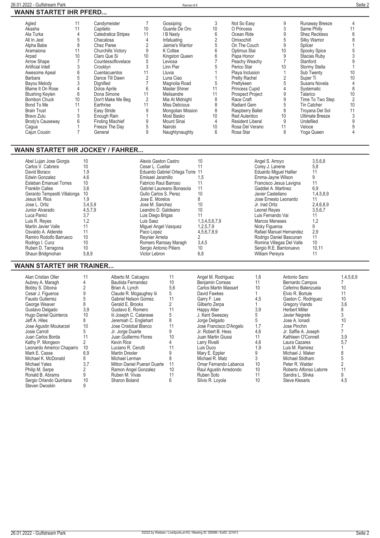| Agled                    | 11 | Candymeister              |    | Gossiping          |    | Not So Easy             |    | Runaway Breeze         |    |
|--------------------------|----|---------------------------|----|--------------------|----|-------------------------|----|------------------------|----|
| Akasha                   | 11 | Capitelio                 | 10 | Guante De Oro      | 10 | O Princess              |    | Same Philly            |    |
| Ala Turka                |    | Catedratica Stripes       |    | I B Nasty          |    | Ocean Ride              |    | <b>Shez Reckless</b>   |    |
| All In Jest              |    | Chacalosa                 |    | Infatuating        |    | Omixochitl              |    | <b>Silky Warrior</b>   |    |
| Alpha Babe               |    | Chez Paree                |    | Jaimie's Warrior   |    | On The Couch            |    | Splicer                |    |
| Aramaiona                | 11 | <b>Churchills Victory</b> |    | K Cottee           |    | Optimus Stai            | 10 | Spooky Spice           |    |
| Arpad                    | 10 | Claro Que Si              | 10 | Kingston Queen     |    | Papa Honor              |    | Stacias Ruby           |    |
| Arrow Shape              |    | Countessoflovelace        |    | Leviosa            |    | Peachy Weachy           |    | Stanford               |    |
| <b>Artificial Intell</b> |    | Crooklyn                  |    | Linn Pier          |    | Perico Star             | 10 | Stormy Stella          |    |
| Awesome Apeal            |    | Cuentacuentos             |    | Lluvia             |    | Playa Inclusion         |    | Sub Twenty             | 10 |
| Barbara                  |    | Dance Till Dawn           |    | Luna Ciao          |    | <b>Pretty Rachel</b>    |    | Super Ti               | 10 |
| Bayou Melody             |    | Dignified                 |    | Magnolia Road      |    | Prettykeen              |    | Susans Novela          |    |
| Blame It On Rose         |    | Dolce Aprile              | b  | Master Shiner      | 11 | Princess Cupid          |    | Systematic             |    |
| <b>Blushing Keylen</b>   | 6  | Dona Simone               | 11 | Melisandre         | 11 | <b>Prospect Project</b> |    | Talarico               | 10 |
| Bombon Chuck             | 10 | Don't Make Me Beg         |    | Mia At Midnight    | 8  | Race Craft              |    | Time To Two Step       |    |
| Bond To Me               | 11 | Earthrise                 | 11 | Miss Delicious     |    | Radiant Gem             |    | Tin Catcher            | 10 |
| <b>Brain Trust</b>       |    | Easy Stride               |    | Mongolian Mission  |    | Raspberry Ballet        | 8  | Troyana Del Sol        |    |
| Bravo Zulu               |    | Enough Rain               |    | Most Basko         | 10 | <b>Red Autentico</b>    | 10 | <b>Ultimate Breeze</b> |    |
| Brody's Causeway         |    | <b>Finding Mischief</b>   |    | <b>Mount Sinai</b> | 4  | Resident Liberal        |    | Undefiled              |    |
| Cagua                    |    | Freeze The Day            |    | Nairobi            | 10 | Rosa Del Verano         |    | Veloce                 |    |
| Cajun Cousin             |    | General                   |    | Naughtynaughty     | 6  | Rosa Star               |    | Yoga Queen             |    |
|                          |    |                           |    |                    |    |                         |    |                        |    |

#### **WANN STARTET IHR JOCKEY / FAHRER...**

| Abel Lujan Jose Giorgis<br>Carlos V. Cabrera<br>David Boraco<br>Edwin Gonzalez<br>Esteban Emanuel Torres<br><b>Franklin Calles</b><br>Gerardo Tempestti Villalonga<br>Jesus M. Rios<br>Jose L. Ortiz<br>Junior Alvarado<br>Luca Panici<br>Luis R. Reves<br>Martin Javier Valle | 10<br>10<br>1,9<br>4,6<br>10<br>3.6<br>10<br>9.ا<br>3,4,5,9<br>4,5,7,9<br>3,7<br>1,2 | Alexis Gaston Castro<br>Cesar L. Cuellar<br>Eduardo Gabriel Ortega Torre 11<br>Emisael Jaramillo<br>Fabricio Raul Barroso<br>Gabriel Laureano Bonasola<br>Gullo Carlos S. Perez<br>Jose E. Morelos<br>Jose M. Sanchez<br>Leandro D. Galdeano<br>Luis Diego Brigas<br>Luis Saez<br>Miguel Angel Vasquez | 10<br>1,5<br>10<br>10 <sup>°</sup><br>10<br>1,3,4,5,6,7,9<br>1,2,5,7,9 | Angel S. Arroyo<br>Corey J. Lanerie<br><b>Eduardo Miquel Hallier</b><br>Emma-Jayne Wilson<br>Francisco Jesus Lavigna<br>Gaddiel A. Martinez<br>Javier Castellano<br>Jose Ernesto Leonardo<br>Jr. Irad Ortiz<br>Leonel Reyes<br>Luis Fernando Vai<br>Marcos Meneses<br>Nicky Figueroa | 3.5,6,8<br>5,8<br>11<br>6.9<br>1,4,5,8,9<br>2,4,6,8,9<br>3,5,6,7<br>1,2 |
|--------------------------------------------------------------------------------------------------------------------------------------------------------------------------------------------------------------------------------------------------------------------------------|--------------------------------------------------------------------------------------|--------------------------------------------------------------------------------------------------------------------------------------------------------------------------------------------------------------------------------------------------------------------------------------------------------|------------------------------------------------------------------------|--------------------------------------------------------------------------------------------------------------------------------------------------------------------------------------------------------------------------------------------------------------------------------------|-------------------------------------------------------------------------|
|                                                                                                                                                                                                                                                                                |                                                                                      |                                                                                                                                                                                                                                                                                                        |                                                                        |                                                                                                                                                                                                                                                                                      |                                                                         |
|                                                                                                                                                                                                                                                                                |                                                                                      |                                                                                                                                                                                                                                                                                                        |                                                                        |                                                                                                                                                                                                                                                                                      |                                                                         |
|                                                                                                                                                                                                                                                                                |                                                                                      |                                                                                                                                                                                                                                                                                                        |                                                                        |                                                                                                                                                                                                                                                                                      |                                                                         |
| Osvaldo A. Alderete<br>Ramiro Rodolfo Barrueco                                                                                                                                                                                                                                 | 10                                                                                   | Paco Lopez<br>Reynier Arrieta                                                                                                                                                                                                                                                                          | 4,5,6,7,8,9                                                            | Rafael Manuel Hernandez<br>Rodrigo Daniel Bascunan                                                                                                                                                                                                                                   | 2.9<br>11                                                               |
| Rodrigo I. Cunz<br>Ruben D. Tarragona<br>Shaun Bridgmohan                                                                                                                                                                                                                      | 10<br>10<br>5,8,9                                                                    | Romero Ramsay Maragh<br>Sergio Antonio Piliero<br>Victor Lebron                                                                                                                                                                                                                                        | 3,4,5<br>10<br>6,8                                                     | Romina Villegas Del Valle<br>Sergio R.E. Barrionuevo<br><b>William Pereyra</b>                                                                                                                                                                                                       | 10<br>10,11                                                             |

### **WANN STARTET IHR TRAINER...**

| Alan Cristian Oller       |     | Alberto M. Calcagno          | 11  | Angel M. Rodriguez      | 1,6 | Antonio Sano            | 1,4,5,6,9 |
|---------------------------|-----|------------------------------|-----|-------------------------|-----|-------------------------|-----------|
| Aubrey A. Maragh          |     | Bautista Fernandez           | 10  | Benjamin Correas        |     | Bernardo Campos         |           |
| Bobby S. Dibona           |     | Brian A. Lynch               | 5,6 | Carlos Martin Massart   | 10  | Ceferino Balenzuela     | 10        |
| Cesar J. Figueroa         |     | Claude R. Mcgaughey lii      | 5   | David Fawkes            |     | Elvio R. Bortule        |           |
| <b>Fausto Gutierrez</b>   |     | Gabriel Nelson Gomez         | 11  | Garry F. Lee            | 4,5 | Gaston C. Rodriguez     | 10        |
| George Weaver             |     | Gerald E. Brooks             | 2   | Gilberto Zerpa          |     | <b>Gregory Viands</b>   | 3,6       |
| Gustavo Delgado           | 3,9 | Gustavo E. Romero            | 11  | <b>Happy Alter</b>      | 3,9 | <b>Herbert Miller</b>   |           |
| Hugo Daniel Quinteros     | 10  | lii Joseph C. Catanese       | 5   | J. Kent Sweezey         |     | Javier Negrete          |           |
| Jeff A. Hiles             |     | Jeremiah C. Englehart        | 8   | Jorge Delgado           |     | Jose A. Ionadi          | 10        |
| Jose Agustin Moukarzel    | 10  | Jose Cristobal Blanco        | 11  | Jose Francisco D'Angelo | 1,7 | Jose Pinchin            |           |
| Josie Carroll             |     | Jr. Jorge Duarte             | 9   | Jr. Robert B. Hess      | 4,6 | Jr. Saffie A. Joseph    |           |
| Juan Carlos Borda         |     | Juan Guillermo Flores        | 10  | Juan Martin Giussi      |     | Kathleen O'Connell      | 3,9       |
| Kathy P. Mongeon          |     | Kevin Rice                   |     | Larry Rivelli           | 4,6 | Laura Cazares           | 5,7       |
| Leonardo Americo Chaparro | 10  | Luciano R. Cerutti           | 11  | Luis Duco               | 1,9 | Luis M. Ramirez         |           |
| Mark E. Casse             | 6.9 | Martin Drexler               |     | Mary E. Eppler          |     | Michael J. Maker        |           |
| Michael K. McDonald       |     | Michael Lerman               |     | Michael R. Matz         |     | Michael Stidham         |           |
| <b>Michael Yates</b>      | 3,7 | Milton Daniel Puerari Duarte | 11  | Omar Fernando Labanca   | 10  | Peter R. Walder         |           |
| Philip M. Serpe           |     | Ramon Angel Gonzalez         | 10  | Raul Agustin Arredondo  | 10  | Roberto Alfonso Latorre |           |
| Ronald B. Abrams          |     | Ruben M. Vivas               | 11  | Ruben Soto              |     | Sandra L. Slivka        |           |
| Sergio Orlando Quintana   | 10  | Sharon Boland                | 6   | Silvio R. Loyola        | 10  | <b>Steve Klesaris</b>   | 4,5       |
| Steven Dwoskin            |     |                              |     |                         |     |                         |           |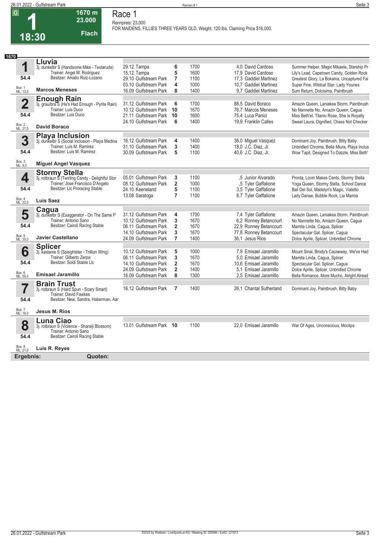**18:30**

**1**

Box: 1 ML: 13,0 **54.4**

Box: 2 ML: 31,0

**3**

**54.4**

**4**

**54.4**

Box: 4 ML: 22,0

**5**

Box: 5 ML: 35,0 **54.4**

**6**

**54.4**

Box: 6 ML: 55,0

**7**

**54.4**

Box: 7 ML: 16,0

Box: 3 ML: 9,0

**2**

**54.4**

**1670**

**1670 m 23.000** 

**Race 1**

| 60.VVV                                                                      | Rennpreis: 23.000                                                               |                |              |                                            |                                                                                          |
|-----------------------------------------------------------------------------|---------------------------------------------------------------------------------|----------------|--------------|--------------------------------------------|------------------------------------------------------------------------------------------|
| <b>Flach</b><br>30                                                          | FOR MAIDENS, FILLIES THREE YEARS OLD. Weight, 120 lbs. Claiming Price \$16,000. |                |              |                                            |                                                                                          |
|                                                                             |                                                                                 |                |              |                                            |                                                                                          |
| Lluvia                                                                      |                                                                                 |                |              |                                            |                                                                                          |
| 3j. dunkelbr S (Handsome Mike - Testaruda)                                  | 29.12 Tampa                                                                     | 6              | 1700         | 4.0 David Cardoso                          | Summer Helper, Magic Mikaela, Starship Pr                                                |
| Trainer: Angel M. Rodriguez                                                 | 15.12 Tampa                                                                     | 5              | 1600         | 17.9 David Cardoso                         | Lily's Lead, Capetown Candy, Golden Rock                                                 |
| Besitzer: Amalio Ruiz-Lozano                                                | 29.10 Gulfstream Park                                                           | $\overline{7}$ | 1100         | 17.3 Gaddiel Martinez                      | Greatest Glory, La Bokaina, Uncaptured Fai                                               |
|                                                                             | 03.10 Gulfstream Park                                                           | 4              | 1000         | 10.7 Gaddiel Martinez                      | Super Fine, Wildcat Star, Lady Younes                                                    |
| <b>Marcos Meneses</b>                                                       | 16.09 Gulfstream Park                                                           | 8              | 1400         | 9.7 Gaddiel Martinez                       | Sum Return, Dolcisima, Paintbrush                                                        |
| <b>Enough Rain</b><br>3j. grau/bra S (He's Had Enough - Pyrite Rain)        |                                                                                 |                |              |                                            |                                                                                          |
|                                                                             | 31.12 Gulfstream Park                                                           | 6              | 1700         | 88,5 David Boraco                          | Amazin Queen, Laniakea Storm, Paintbrush                                                 |
| Trainer: Luis Duco<br>Besitzer: Luis Duco                                   | 10.12 Gulfstream Park                                                           | 10             | 1670         | 76,7 Marcos Meneses                        | No Nannette No, Amazin Queen, Cagua                                                      |
|                                                                             | 21.11 Gulfstream Park                                                           | 10             | 1600         | 75,4 Luca Panici                           | Miss Beth'el, Titanic Rose, She Is Royalty                                               |
| <b>David Boraco</b>                                                         | 24.10 Gulfstream Park                                                           | 6              | 1400         | 19,9 Franklin Calles                       | Sweet Laura, Dignified, Chess Not Checker                                                |
|                                                                             |                                                                                 |                |              |                                            |                                                                                          |
| <b>Playa Inclusion</b>                                                      |                                                                                 |                |              |                                            |                                                                                          |
| 3j. dunkelbr S (Social Inclusion - Playa Medina<br>Trainer: Luis M. Ramirez | 16.12 Gulfstream Park                                                           | 4<br>3         | 1400<br>1400 | 36,0 Miguel Vasquez                        | Dominant Joy, Paintbrush, Bitty Baby                                                     |
| Besitzer: Luis M. Ramirez                                                   | 31.10 Gulfstream Park<br>30.09 Gulfstream Park                                  | 5              | 1100         | 18,0 J.C. Diaz, Jr.<br>40.6 J.C. Diaz, Jr. | Unbridled Chrome, Bella Miura, Playa Inclus<br>Wow Tapit, Designed To Dazzle, Miss Beth' |
|                                                                             |                                                                                 |                |              |                                            |                                                                                          |
| <b>Miguel Angel Vasquez</b>                                                 |                                                                                 |                |              |                                            |                                                                                          |
| Stormy Stella                                                               |                                                                                 |                |              |                                            |                                                                                          |
| 3j. rotbraun Ś̃ (Twirling Candy - Delightful Stor                           | 05.01 Gulfstream Park                                                           | 3              | 1100         | .5 Junior Alvarado                         | Pronta, Lovin Makes Cents, Stormy Stella                                                 |
| Trainer: Jose Francisco D'Angelo                                            | 08.12 Gulfstream Park                                                           | 2              | 1000         | ,5 Tyler Gaffalione                        | Yoga Queen, Stormy Stella, School Dance                                                  |
| Besitzer: Llc Proracing Stable                                              | 24.10 Keeneland                                                                 | 5              | 1100         | 3,5 Tyler Gaffalione                       | Bali Del Sol, Madelyn's Magic, Vialetto                                                  |
|                                                                             | 13.08 Saratoga                                                                  | 7              | 1100         | 8,7 Tyler Gaffalione                       | Lady Danae, Bubble Rock, Lia Marina                                                      |
| Luis Saez                                                                   |                                                                                 |                |              |                                            |                                                                                          |
| Cagua                                                                       |                                                                                 |                |              |                                            |                                                                                          |
| 3j. dunkelbr S (Exaggerator - On The Same P                                 | 31.12 Gulfstream Park                                                           | 4              | 1700         | 7,4 Tyler Gaffalione                       | Amazin Queen, Laniakea Storm, Paintbrush                                                 |
| Trainer: Antonio Sano                                                       | 10.12 Gulfstream Park                                                           | 3              | 1670         | 6,2 Ronney Betancourt                      | No Nannette No, Amazin Queen, Cagua                                                      |
| Besitzer: Cairoli Racing Stable                                             | 06.11 Gulfstream Park                                                           | $\overline{2}$ | 1670         | 22,9 Ronney Betancourt                     | Mamita Linda, Cagua, Splicer                                                             |
|                                                                             | 14.10 Gulfstream Park                                                           | 3              | 1670         | 77,8 Ronney Betancourt                     | Spectacular Gal, Splicer, Cagua                                                          |
| Javier Castellano                                                           | 24.09 Gulfstream Park                                                           | 7              | 1400         | 36,1 Jesus Rios                            | Dolce Aprile, Splicer, Unbridled Chrome                                                  |
| <b>Splicer</b>                                                              |                                                                                 |                |              |                                            |                                                                                          |
| 3j. kastanie S (Speightster - Trillion Wing)                                | 10.12 Gulfstream Park                                                           | 5              | 1000         | 7.9 Emisael Jaramillo                      | Mount Sinai, Brody's Causeway, We've Had                                                 |
| Trainer: Gilberto Zerpa<br>Besitzer: Soldi Stable Llc                       | 06.11 Gulfstream Park                                                           | 3              | 1670         | 5.0 Emisael Jaramillo                      | Mamita Linda, Cagua, Splicer                                                             |
|                                                                             | 14.10 Gulfstream Park                                                           | 2              | 1670         | 10.6 Emisael Jaramillo                     | Spectacular Gal, Splicer, Cagua                                                          |
| Emisael Jaramillo                                                           | 24.09 Gulfstream Park                                                           | $\overline{2}$ | 1400         | 5,1 Emisael Jaramillo                      | Dolce Aprile, Splicer, Unbridled Chrome                                                  |
|                                                                             | 16.09 Gulfstream Park                                                           | 8              | 1300         | 2,5 Emisael Jaramillo                      | Bella Romance, More Mucho, Alright Alread                                                |
| <b>Brain Trust</b>                                                          |                                                                                 |                |              |                                            |                                                                                          |
| 3j. rotbraun S (Hard Spun - Scary Smart)<br>Trainer: David Fawkes           | 16.12 Gulfstream Park                                                           | 7              | 1400         | 26,1 Chantal Sutherland                    | Dominant Joy, Paintbrush, Bitty Baby                                                     |

**Luna Ciao**

**Jesus M. Rios**

**8** Box: 8 ML: 21,0 **54.4** 3j. rotbraun S (Violence - Sharaiji Blossom) Trainer: Antonio Sano Besitzer: Cairoli Racing Stable **Luis R. Reyes** 13.01 Gulfstream Park **10** 1100 22,0 Emisael Jaramillo War Of Ages, Unconscious, Moclips **Ergebnis: Quoten:**

Besitzer: New, Sandra, Haberman, Aar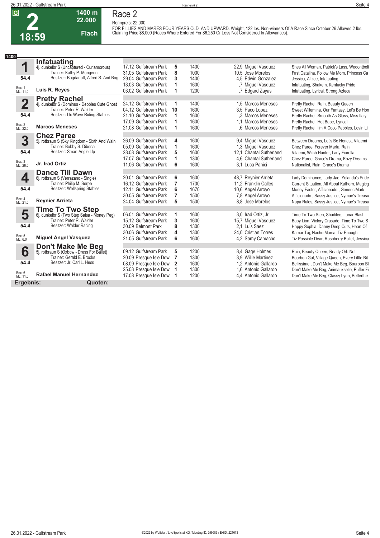

#### **1400 m 22.000 Flach Race 2**

**Rennpreis: 22.000**

FOR FILLIES AND MARES FOUR YEARS OLD AND UPWARD. Weight, 122 lbs. Non-winners Of A Race Since October 26 Allowed 2 lbs.<br>Claiming Price \$8,000 (Races Where Entered For \$6,250 Or Less Not Considered In Allowances).

| 1400                    |                                                                         |                          |                |      |                         |                                              |
|-------------------------|-------------------------------------------------------------------------|--------------------------|----------------|------|-------------------------|----------------------------------------------|
|                         | <b>Infatuating</b>                                                      |                          |                |      |                         |                                              |
| 1                       | 4j. dunkelbr S (Uncaptured - Curlamorous)                               | 17.12 Gulfstream Park    | 5              | 1400 | 22,9 Miquel Vasquez     | Shes All Woman, Patrick's Lass, Wedontbeli   |
|                         | Trainer: Kathy P. Mongeon                                               | 31.05 Gulfstream Park    | 8              | 1000 | 10.5 Jose Morelos       | Fast Catalina, Follow Me Mom, Princess Ca    |
| 54.4                    | Besitzer: Bogdanoff, Alfred S. And Bog                                  | 29.04 Gulfstream Park    | 3              | 1400 | 4.5 Edwin Gonzalez      | Jessica, Alizee, Infatuating                 |
|                         |                                                                         | 13.03 Gulfstream Park    |                | 1600 | .7 Miquel Vasquez       | Infatuating, Shakem, Kentucky Pride          |
| Box: 1<br>ML: 11,0      | Luis R. Reyes                                                           | 03.02 Gulfstream Park    |                | 1200 | .7 Edgard Zayas         | Infatuating, Lyrical, Strong Azteca          |
|                         |                                                                         |                          |                |      |                         |                                              |
| $\overline{\mathbf{2}}$ | <b>Pretty Rachel</b><br>4j. dunkelbr S (Dominus - Debbies Cute Ghost    | 24.12 Gulfstream Park    |                | 1400 | 1.5 Marcos Meneses      | Pretty Rachel, Rain, Beauty Queen            |
|                         | Trainer: Peter R. Walder                                                | 04.12 Gulfstream Park 10 |                | 1600 | 3.5 Paco Lopez          | Sweet Willemina, Our Fantasy, Let's Be Hon   |
| 54.4                    | Besitzer: Llc Wave Riding Stables                                       | 21.10 Gulfstream Park    |                | 1600 | .3 Marcos Meneses       | Pretty Rachel, Smooth As Glass, Miss Italy   |
|                         |                                                                         | 17.09 Gulfstream Park    |                | 1600 | 1.1 Marcos Meneses      | Pretty Rachel, Hot Babe, Lyrical             |
| Box: 2<br>ML: 22,0      | <b>Marcos Meneses</b>                                                   | 21.08 Gulfstream Park    |                | 1600 | .6 Marcos Meneses       | Pretty Rachel, I'm A Coco Pebbles, Lovin Li  |
|                         | <b>Chez Paree</b>                                                       |                          |                |      |                         |                                              |
| 3                       | 5j. rotbraun S (Sky Kingdom - Sixth And Waln                            | 26.09 Gulfstream Park    | 4              | 1600 | 9,4 Miquel Vasquez      | Between Dreams, Let's Be Honest, Vitaemi     |
|                         | Trainer: Bobby S. Dibona                                                | 05.09 Gulfstream Park    | 1              | 1600 | 1,3 Miguel Vasquez      | Chez Paree, Forever Marta, Rain              |
| 54.4                    | Besitzer: Smart Angle Llp                                               | 28.08 Gulfstream Park    | 5              | 1600 | 12.1 Chantal Sutherland | Vitaemi, Witch Hunter, Lady Fiorella         |
|                         |                                                                         | 17.07 Gulfstream Park    | 1              | 1300 | 4,6 Chantal Sutherland  | Chez Paree, Grace's Drama, Kozy Dreams       |
| Box: 3<br>ML: 26,0      | Jr. Irad Ortiz                                                          | 11.06 Gulfstream Park    | 6              | 1600 | 3.1 Luca Panici         | Nationalist, Rain, Grace's Drama             |
|                         |                                                                         |                          |                |      |                         |                                              |
| 4                       | <b>Dance Till Dawn</b><br>6j. rotbraun S (Verrazano - Single)           | 20.01 Gulfstream Park    | 6              | 1600 | 48,7 Reynier Arrieta    | Lady Dominance, Lady Jae, Yolanda's Pride    |
|                         | Trainer: Philip M. Serpe                                                | 16.12 Gulfstream Park    | 7              | 1700 | 11.2 Franklin Calles    | Current Situation, All About Kathern, Magicg |
| 54.4                    | Besitzer: Wellspring Stables                                            | 12.11 Gulfstream Park    | 6              | 1670 | 10,6 Angel Arroyo       | Money Factor, Afficionado, Generic Mark      |
|                         |                                                                         | 30.05 Gulfstream Park    | 7              | 1500 | 7,8 Angel Arroyo        | Afficionado, Sassy Justice, Nymue's Treasu   |
| Box: 4<br>ML: 21,0      | <b>Reynier Arrieta</b>                                                  | 24.04 Gulfstream Park    | 5              | 1500 | 8.8 Jose Morelos        | Napa Rules, Sassy Justice, Nymue's Treasu    |
|                         |                                                                         |                          |                |      |                         |                                              |
| 5                       | <b>Time To Two Step</b>                                                 | 06.01 Gulfstream Park    | 1              | 1600 | 3.0 Irad Ortiz, Jr.     | Time To Two Step, Shadilee, Lunar Blast      |
|                         | 6j. dunkelbr S (Two Step Salsa - Money Peg)<br>Trainer: Peter R. Walder | 15.12 Gulfstream Park    | 3              | 1600 | 15,7 Miguel Vasquez     | Baby Lion, Victory Crusade, Time To Two S    |
| 54.4                    | Besitzer: Walder Racing                                                 | 30.09 Belmont Park       | 8              | 1300 | 2.1 Luis Saez           | Happy Sophia, Danny Deep Cuts, Heart Of      |
|                         |                                                                         | 30.06 Gulfstream Park    | 4              | 1300 | 24.0 Cristian Torres    |                                              |
| Box: 5<br>ML: 6,0       | <b>Miguel Angel Vasquez</b>                                             | 21.05 Gulfstream Park    | 6              | 1600 | 4,2 Samy Camacho        | Kamar Taj, Nacho Mama, Tiz Enough            |
|                         |                                                                         |                          |                |      |                         | Tiz Possible Dear, Raspberry Ballet, Jessica |
|                         | <b>Don't Make Me Beg</b><br>5j. rotbraun S (Oxbow - Dress For Ballet)   |                          |                |      |                         |                                              |
| 6                       |                                                                         | 09.12 Gulfstream Park    | 5              | 1200 | 8,4 Gage Holmes         | Rain, Beauty Queen, Ready Orb Not            |
| 54.4                    | Trainer: Gerald E. Brooks<br>Besitzer: Jr. Carl L. Hess                 | 20.09 Presque Isle Dow   | $\overline{7}$ | 1300 | 3.9 Willie Martinez     | Bourbon Gal, Village Queen, Every Little Bit |
|                         |                                                                         | 08.09 Presque Isle Dow   | $\mathbf{2}$   | 1600 | 1.2 Antonio Gallardo    | Bellissime, Don't Make Me Beg, Bourbon Bl    |
|                         | <b>Rafael Manuel Hernandez</b>                                          | 25.08 Presque Isle Dow   |                | 1300 | 1.6 Antonio Gallardo    | Don't Make Me Beg, Animauxselle, Puffer Fi   |
| Box: 6<br>ML: 11,0      |                                                                         | 17.08 Presque Isle Dow   |                | 1200 | 4,4 Antonio Gallardo    | Don't Make Me Beg, Classy Lynn, Betterthe    |
| Ergebnis:               | Quoten:                                                                 |                          |                |      |                         |                                              |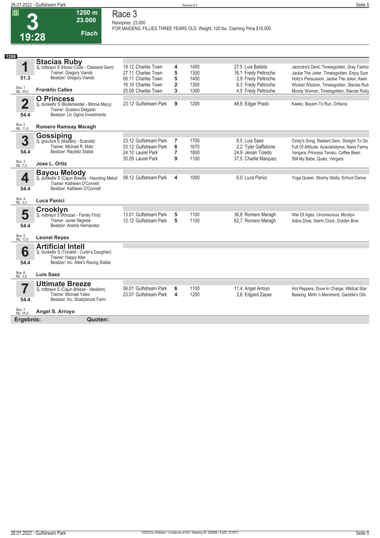

#### **1200 m 23.000 Flach Race 3 Rennpreis: 23.000**

**FOR MAIDENS, FILLIES THREE YEARS OLD. Weight, 120 lbs. Claiming Price \$16,000.** 

| 1200                    |                                                              |                                          |                              |              |                                            |                                                                                        |
|-------------------------|--------------------------------------------------------------|------------------------------------------|------------------------------|--------------|--------------------------------------------|----------------------------------------------------------------------------------------|
|                         | <b>Stacias Ruby</b>                                          |                                          |                              |              |                                            |                                                                                        |
| 1                       | 3j. rotbraun S (Honor Code - Classiest Gem)                  | 18.12 Charles Town                       | 4                            | 1400         | 27,5 Luis Batista                          | Jacrodra's Devil, Timeisgolden, Gray Fashio                                            |
| 51.3                    | Trainer: Gregory Viands<br>Besitzer: Gregory Viands          | 27.11 Charles Town                       | 5                            | 1300         | 16,1 Fredy Peltroche                       | Jackie The Joker, Timeisgolden, Enjoy Sum                                              |
|                         |                                                              | 06.11 Charles Town<br>16.10 Charles Town | 5<br>$\overline{\mathbf{2}}$ | 1400<br>1300 | 2.9 Fredy Peltroche<br>6.3 Fredy Peltroche | Holly's Persuasion, Jackie The Joker, Keen<br>Wicked Wisdom, Timeisgolden, Stacias Rub |
| Box: 1<br>ML: 45,0      | <b>Franklin Calles</b>                                       | 25.09 Charles Town                       | 3                            | 1300         | 4,5 Fredy Peltroche                        | Moody Woman, Timeisgolden, Stacias Ruby                                                |
|                         | <b>O</b> Princess                                            |                                          |                              |              |                                            |                                                                                        |
| $\overline{\mathbf{2}}$ | 3j. dunkelbr S (Bodemeister - Minnie Macy)                   | 23.12 Gulfstream Park                    | 9                            | 1200         | 48,8 Edgar Prado                           | Kaeko, Bayern To Run, Drifaros                                                         |
| 54.4                    | Trainer: Gustavo Delgado<br>Besitzer: Llc Ogma Investments   |                                          |                              |              |                                            |                                                                                        |
| Box: 2<br>ML: 11,0      | <b>Romero Ramsay Maragh</b>                                  |                                          |                              |              |                                            |                                                                                        |
|                         |                                                              |                                          |                              |              |                                            |                                                                                        |
| 3                       | Gossiping<br>3j. grau/bra S (Mastery - Scandal)              | 23.12 Gulfstream Park                    | 7                            | 1700         | 6.5 Luis Saez                              | Cindy's Song, Radiant Gem, Straight To Go                                              |
|                         | Trainer: Michael R. Matz                                     | 03.12 Gulfstream Park                    | 6                            | 1670         | 2,2 Tyler Gaffalione                       | Full Of Attitude, Acaciahelpme, Nana Fanny                                             |
| 54.4                    | Besitzer: Raydelz Stable                                     | 24.10 Laurel Park                        | 7                            | 1800         | 24.9 Jevian Toledo                         | Vergara, Princess Teruko, Coffee Bean                                                  |
|                         |                                                              | 30.09 Laurel Park                        | 9                            | 1100         | 37,5 Charlie Marquez                       | Still My Babe, Qualy, Vergara                                                          |
| Box: 3<br>ML: 7,0       | Jose L. Ortiz                                                |                                          |                              |              |                                            |                                                                                        |
|                         | <b>Bayou Melody</b>                                          |                                          |                              |              |                                            |                                                                                        |
| 4                       | 3j. dunkelbr S (Cajun Breeze - Haunting Melod                | 08.12 Gulfstream Park                    | 4                            | 1000         | 6,0 Luca Panici                            | Yoga Queen, Stormy Stella, School Dance                                                |
| 54.4                    | Trainer: Kathleen O'Connell<br>Besitzer: Kathleen O'Connell  |                                          |                              |              |                                            |                                                                                        |
|                         |                                                              |                                          |                              |              |                                            |                                                                                        |
| Box: 4<br>ML: 5.0       | Luca Panici                                                  |                                          |                              |              |                                            |                                                                                        |
|                         | <b>Crooklyn</b>                                              |                                          |                              |              |                                            |                                                                                        |
| 5                       | 3j. rotbraun S (Khozan - Family First)                       | 13.01 Gulfstream Park                    | 5                            | 1100         | 36,8 Romero Maragh                         | War Of Ages, Unconscious, Moclips                                                      |
| 54.4                    | Trainer: Javier Negrete<br>Besitzer: Aramis Hernandez        | 12.12 Gulfstream Park                    | 5                            | 1100         | 62,7 Romero Maragh                         | Adios Dixie, Alarm Clock, Golden Bow                                                   |
|                         |                                                              |                                          |                              |              |                                            |                                                                                        |
| Box: 5<br>ML: 13,0      | <b>Leonel Reyes</b>                                          |                                          |                              |              |                                            |                                                                                        |
|                         | <b>Artificial Intell</b>                                     |                                          |                              |              |                                            |                                                                                        |
| 6                       | 3j. dunkelbr S (Tonalist - Curlin's Daughter)                |                                          |                              |              |                                            |                                                                                        |
| 54.4                    | Trainer: Happy Alter<br>Besitzer: Inc. Alter's Racing Stable |                                          |                              |              |                                            |                                                                                        |
|                         |                                                              |                                          |                              |              |                                            |                                                                                        |
| Box: 6<br>ML: 3,0       | <b>Luis Saez</b>                                             |                                          |                              |              |                                            |                                                                                        |
|                         | <b>Ultimate Breeze</b>                                       |                                          |                              |              |                                            |                                                                                        |
|                         | 3j. rotbraun S (Cajun Breeze - Idealism)                     | 06.01 Gulfstream Park                    | 6                            | 1100         | 11,4 Angel Arroyo                          | Hot Peppers, Dove In Charge, Wildcat Star                                              |
|                         | Trainer: Michael Yates                                       | 23.07 Gulfstream Park                    | 4                            | 1200         | 2,6 Edgard Zayas                           | Basking, Mirth 'n Merriment, Gamble's Orb                                              |
| 54.4                    | Besitzer: Inc. Shadybrook Farm                               |                                          |                              |              |                                            |                                                                                        |

Box: 7 ML: 55,0

**Angel S. Arroyo**

**Ergebnis: Quoten:**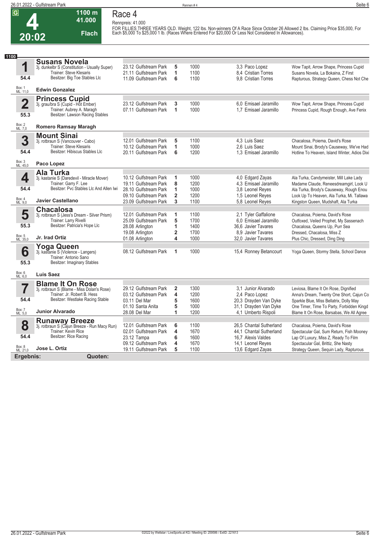**4 20:02**

### **Race 4 Rennpreis: 41.000**

**1100 m 41.000** 

**Flach**

FOR FILLIES THREE YEARS OLD. Weight, 122 lbs. Non-winners Of A Race Since October 26 Allowed 2 lbs. Claiming Price \$35,000, For<br>Each \$5,000 To \$25,000 1 lb. (Races Where Entered For \$20,000 Or Less Not Considered In Allowa

| 1100                            |                                                                                                                                               |                                                                                                         |                                             |                                      |                                                                                                                   |                                                                                                                                                                            |
|---------------------------------|-----------------------------------------------------------------------------------------------------------------------------------------------|---------------------------------------------------------------------------------------------------------|---------------------------------------------|--------------------------------------|-------------------------------------------------------------------------------------------------------------------|----------------------------------------------------------------------------------------------------------------------------------------------------------------------------|
| 1<br>54.4                       | <b>Susans Novela</b><br>3j. dunkelbr S (Constitution - Usually Super)<br>Trainer: Steve Klesaris<br>Besitzer: Big Toe Stables Llc             | 23.12 Gulfstream Park<br>21.11 Gulfstream Park<br>11.09 Gulfstream Park                                 | 5<br>1<br>6                                 | 1000<br>1100<br>1100                 | 3.3 Paco Lopez<br>8,4 Cristian Torres<br>9.8 Cristian Torres                                                      | Wow Tapit, Arrow Shape, Princess Cupid<br>Susans Novela, La Bokaina, Z First<br>Rapturous, Strategy Queen, Chess Not Che                                                   |
| Box: 1<br>ML: 11,0              | <b>Edwin Gonzalez</b>                                                                                                                         |                                                                                                         |                                             |                                      |                                                                                                                   |                                                                                                                                                                            |
| $\overline{2}$<br>55.3          | <b>Princess Cupid</b><br>3j. grau/bra S (Cupid - Hot Ember)<br>Trainer: Aubrey A. Maragh<br>Besitzer: Lawson Racing Stables                   | 23.12 Gulfstream Park<br>07.11 Gulfstream Park                                                          | 3<br>1                                      | 1000<br>1000                         | 6.0 Emisael Jaramillo<br>1.7 Emisael Jaramillo                                                                    | Wow Tapit, Arrow Shape, Princess Cupid<br>Princess Cupid, Rough Enough, Ave Fenix                                                                                          |
| Box: 2<br>ML: 7,0               | <b>Romero Ramsay Maragh</b>                                                                                                                   |                                                                                                         |                                             |                                      |                                                                                                                   |                                                                                                                                                                            |
| 3<br>54.4                       | <b>Mount Sinai</b><br>3j. rotbraun S (Vancouver - Cabo)<br>Trainer: Steve Klesaris<br>Besitzer: Hibiscus Stables Llc                          | 12.01 Gulfstream Park<br>10.12 Gulfstream Park<br>20.11 Gulfstream Park                                 | 5<br>1<br>6                                 | 1100<br>1000<br>1200                 | 4,3 Luis Saez<br>2.6 Luis Saez<br>1.3 Emisael Jaramillo                                                           | Chacalosa, Poiema, David's Rose<br>Mount Sinai, Brody's Causeway, We've Had<br>Hotline To Heaven, Island Winter, Adios Dixi                                                |
| Box: 3<br>ML: 45,0              | Paco Lopez                                                                                                                                    |                                                                                                         |                                             |                                      |                                                                                                                   |                                                                                                                                                                            |
| 4<br>54.4                       | Ala Turka<br>3j. kastanie S (Daredevil - Miracle Mover)<br>Trainer: Garry F. Lee<br>Besitzer: Pvc Stables Llc And Allen Iwi                   | 10.12 Gulfstream Park<br>19.11 Gulfstream Park<br>28.10 Gulfstream Park                                 | 1<br>8<br>1                                 | 1000<br>1200<br>1000                 | 4,0 Edgard Zayas<br>4.3 Emisael Jaramillo<br>3.8 Leonel Reves                                                     | Ala Turka, Candymeister, Mill Lake Lady<br>Madame Claude, Reneesdreamgirl, Look U<br>Ala Turka, Brody's Causeway, Rough Enou                                               |
| Box: 4<br>ML: 9,0               | <b>Javier Castellano</b>                                                                                                                      | 09.10 Gulfstream Park<br>23.09 Gulfstream Park                                                          | $\overline{2}$<br>3                         | 1200<br>1100                         | 1,5 Leonel Reyes<br>5,8 Leonel Reyes                                                                              | Look Up To Heaven, Ala Turka, Mi. Tallawa<br>Kingston Queen, Mudshaft, Ala Turka                                                                                           |
| 5<br>55.3<br>Box: 5<br>ML: 35,0 | <b>Chacalosa</b><br>3j. rotbraun S (Jess's Dream - Silver Prism)<br>Trainer: Larry Rivelli<br>Besitzer: Patricia's Hope Llc<br>Jr. Irad Ortiz | 12.01 Gulfstream Park<br>25.09 Gulfstream Park<br>28.08 Arlington<br>19.08 Arlington<br>01.08 Arlington | 1<br>5<br>1<br>$\overline{\mathbf{2}}$<br>4 | 1100<br>1700<br>1400<br>1700<br>1000 | 2,1 Tyler Gaffalione<br>6.0 Emisael Jaramillo<br>36.6 Javier Tavares<br>8.9 Javier Tavares<br>32,0 Javier Tavares | Chacalosa, Poiema, David's Rose<br>Outfoxed, Veiled Prophet, My Sassenach<br>Chacalosa, Queens Up, Purr Sea<br>Dressed, Chacalosa, Miss Z<br>Plus Chic, Dressed, Ding Ding |
| 6<br>55.3                       | Yoga Queen<br>3j. kastanie S (Violence - Langers)<br>Trainer: Antonio Sano<br>Besitzer: Imaginary Stables                                     | 08.12 Gulfstream Park                                                                                   | 1                                           | 1000                                 | 15,4 Ronney Betancourt                                                                                            | Yoga Queen, Stormy Stella, School Dance                                                                                                                                    |
| Box: 6<br>ML: 6,0               | <b>Luis Saez</b>                                                                                                                              |                                                                                                         |                                             |                                      |                                                                                                                   |                                                                                                                                                                            |
| 7<br>54.4                       | <b>Blame It On Rose</b><br>3j. rotbraun S (Blame - Miss Dolan's Rose)<br>Trainer: Jr. Robert B. Hess<br>Besitzer: Westlake Racing Stable      | 29.12 Gulfstream Park<br>03.12 Gulfstream Park<br>03.11 Del Mar<br>01.10 Santa Anita                    | $\overline{2}$<br>4<br>5<br>5               | 1300<br>1200<br>1600<br>1000         | 3.1 Junior Alvarado<br>2.4 Paco Lopez<br>20,3 Drayden Van Dyke<br>31.1 Drayden Van Dyke                           | Leviosa, Blame It On Rose, Dignified<br>Anna's Dream, Twenty One Short, Cajun Co<br>Sparkle Blue, Miss Bellatrix, Dolly May<br>One Timer, Time To Party, Forbidden Kingd   |
| Box: 7<br>ML: 5,0               | <b>Junior Alvarado</b>                                                                                                                        | 28.08 Del Mar                                                                                           | 1                                           | 1200                                 | 4,1 Umberto Rispoli                                                                                               | Blame It On Rose, Barsabas, We All Agree                                                                                                                                   |
| 8<br>54.4                       | <b>Runaway Breeze</b><br>3j. rotbraun S (Cajun Breeze - Run Macy Run)<br>Trainer: Kevin Rice<br>Besitzer: Rice Racing                         | 12.01 Gulfstream Park<br>02.01 Gulfstream Park<br>23.12 Tampa<br>09.12 Gulfstream Park                  | 6<br>4<br>6<br>4                            | 1100<br>1670<br>1600<br>1670         | 26,5 Chantal Sutherland<br>44.1 Chantal Sutherland<br>16.7 Alexis Valdes<br>14,1 Leonel Reyes                     | Chacalosa, Poiema, David's Rose<br>Spectacular Gal, Sum Return, Fish Mooney<br>Lap Of Luxury, Miss Z, Ready To Film<br>Spectacular Gal, Brittiz, She Nasty                 |
| Box: 8<br>ML: 21,0              | Jose L. Ortiz                                                                                                                                 | 19.11 Gulfstream Park                                                                                   | 5                                           | 1100                                 | 13,6 Edgard Zayas                                                                                                 | Strategy Queen, Sequin Lady, Rapturous                                                                                                                                     |
| Ergebnis:                       | Quoten:                                                                                                                                       |                                                                                                         |                                             |                                      |                                                                                                                   |                                                                                                                                                                            |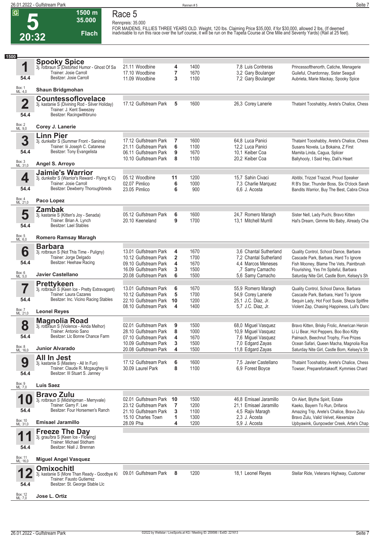**5 20:32**

### **Race 5 Rennpreis: 35.000**

**Flach**

**1500 m 35.000** 

FOR MAIDENS, FILLIES THREE YEARS OLD. Weight, 120 lbs. Claiming Price \$35,000, if for \$30,000, allowed 2 lbs. (If deemed<br>inadvisable to run this race over the turf course, it will be run on the Tapeta Course at One Mile an

| 1500                            |                                                                                                                                      |                                                |                         |              |                                            |                                                                                            |
|---------------------------------|--------------------------------------------------------------------------------------------------------------------------------------|------------------------------------------------|-------------------------|--------------|--------------------------------------------|--------------------------------------------------------------------------------------------|
| 1                               | <b>Spooky Spice</b><br>3j. rotbraun S (Distorted Humor - Ghost Of Sa<br>Trainer: Josie Carroll                                       | 21.11 Woodbine<br>17.10 Woodbine               | 4<br>7                  | 1400<br>1670 | 7,8 Luis Contreras<br>3.2 Gary Boulanger   | Princessofthenorth, Catiche, Menagerie<br>Guileful, Chardonnay, Sister Seagull             |
| 54.4                            | Besitzer: Josie Carroll                                                                                                              | 11.09 Woodbine                                 | 3                       | 1100         | 7,2 Gary Boulanger                         | Aubrieta, Marie Mackay, Spooky Spice                                                       |
| Box: 1<br>ML: 4,0               | Shaun Bridgmohan                                                                                                                     |                                                |                         |              |                                            |                                                                                            |
| $\overline{\mathbf{2}}$<br>54.4 | <b>Countessoflovelace</b><br>3j. kastanie S (Divining Rod - Silver Holiday)<br>Trainer: J. Kent Sweezey<br>Besitzer: Racingwithbruno | 17.12 Gulfstream Park                          | 5                       | 1600         | 26,3 Corey Lanerie                         | Thataint Tooshabby, Arete's Chalice, Chess                                                 |
| Box: 2<br>ML: 9,0               | Corey J. Lanerie                                                                                                                     |                                                |                         |              |                                            |                                                                                            |
|                                 | <b>Linn Pier</b>                                                                                                                     |                                                |                         |              |                                            |                                                                                            |
| 3                               | 3j. dunkelbr S (Summer Front - Sanima)                                                                                               | 17.12 Gulfstream Park                          | 7                       | 1600         | 64,8 Luca Panici                           | Thataint Tooshabby, Arete's Chalice, Chess                                                 |
| 54.4                            | Trainer: lii Joseph C. Catanese<br>Besitzer: Tony Evangelista                                                                        | 21.11 Gulfstream Park<br>06.11 Gulfstream Park | 6<br>9                  | 1100<br>1670 | 12,2 Luca Panici<br>10.1 Keiber Coa        | Susans Novela, La Bokaina, Z First<br>Mamita Linda, Cagua, Splicer                         |
|                                 |                                                                                                                                      | 10.10 Gulfstream Park                          | 8                       | 1100         | 20,2 Keiber Coa                            | Ballyhooly, I Said Hey, Dali's Heart                                                       |
| Box: 3<br>ML: 31,0              | Angel S. Arroyo                                                                                                                      |                                                |                         |              |                                            |                                                                                            |
|                                 | <b>Jaimie's Warrior</b>                                                                                                              |                                                |                         |              |                                            |                                                                                            |
| 4                               | 3j. dunkelbr S (Warrior's Reward - Flying K C)                                                                                       | 05.12 Woodbine                                 | 11                      | 1200         | 15,7 Sahin Civaci                          | Abitibi, Trizzel Trazzel, Proud Speaker                                                    |
|                                 | Trainer: Josie Carroll                                                                                                               | 02.07 Pimlico                                  | 6                       | 1000         | 7,3 Charlie Marquez                        | R B's Star, Thunder Boss, Six O'clock Sarah                                                |
| 54.4                            | Besitzer: Dewberry Thoroughbreds                                                                                                     | 23.05 Pimlico                                  | 6                       | 900          | 6.6 J. Acosta                              | Bandits Warrior, Buy The Best, Cabra Chica                                                 |
| Box: 4<br>ML: 21,0              | Paco Lopez                                                                                                                           |                                                |                         |              |                                            |                                                                                            |
|                                 | <b>Zambak</b>                                                                                                                        |                                                |                         |              |                                            |                                                                                            |
| 5                               | 3j. kastanie S (Kitten's Joy - Senada)                                                                                               | 05.12 Gulfstream Park                          | 6                       | 1600         | 24,7 Romero Maragh                         | Sister Nell, Lady Puchi, Bravo Kitten                                                      |
|                                 | Trainer: Brian A. Lynch                                                                                                              | 20.10 Keeneland                                | 9                       | 1700         | 13.1 Mitchell Murrill                      | Hal's Dream, Gimme Mo Baby, Already Cha                                                    |
| 54.4                            | Besitzer: Lael Stables                                                                                                               |                                                |                         |              |                                            |                                                                                            |
| Box: 5<br>ML: 6,0               | <b>Romero Ramsay Maragh</b>                                                                                                          |                                                |                         |              |                                            |                                                                                            |
|                                 |                                                                                                                                      |                                                |                         |              |                                            |                                                                                            |
| 6                               | <b>Barbara</b>                                                                                                                       | 13.01 Gulfstream Park                          | 4                       | 1670         | 3.6 Chantal Sutherland                     | Quality Control, School Dance, Barbara                                                     |
|                                 | 3j. rotbraun S (Not This Time - Puligny)<br>Trainer: Jorge Delgado                                                                   | 10.12 Gulfstream Park                          | $\overline{\mathbf{2}}$ | 1700         | 7.2 Chantal Sutherland                     | Cascade Park, Barbara, Hard To Ignore                                                      |
| 54.4                            | Besitzer: Heehaw Racing                                                                                                              | 09.10 Gulfstream Park                          | 4                       | 1670         | 4.4 Marcos Meneses                         | Fish Mooney, Blame The Vets, Paintbrush                                                    |
|                                 |                                                                                                                                      | 16.09 Gulfstream Park                          | 3                       | 1500         | ,7 Samy Camacho                            | Flourishing, Yes I'm Spiteful, Barbara                                                     |
| Box: 6<br>ML: 5,0               | Javier Castellano                                                                                                                    | 20.08 Gulfstream Park                          | 6                       | 1500         | 5,6 Samy Camacho                           | Saturday Nite Girl, Castle Born, Kelsey's Sh                                               |
|                                 | <b>Prettykeen</b>                                                                                                                    |                                                |                         |              |                                            |                                                                                            |
|                                 | 3j. rotbraun S (Keen Ice - Pretty Extravagant)                                                                                       | 13.01 Gulfstream Park                          | 6                       | 1670         | 55,9 Romero Maragh                         | Quality Control, School Dance, Barbara                                                     |
| 54.4                            | Trainer: Laura Cazares<br>Besitzer: Inc. Vicino Racing Stables                                                                       | 10.12 Gulfstream Park                          | 5                       | 1700         | 54,9 Corey Lanerie                         | Cascade Park, Barbara, Hard To Ignore                                                      |
|                                 |                                                                                                                                      | 22.10 Gulfstream Park<br>08.10 Gulfstream Park | 10<br>4                 | 1200<br>1400 | 25.1 J.C. Diaz, Jr.<br>5.7 J.C. Diaz, Jr.  | Sequin Lady, Hot Foot Susie, Sheza Spitfire<br>Violent Zap, Chasing Happiness, Luli's Danc |
| Box: 7<br>ML: 21,0              | <b>Leonel Reyes</b>                                                                                                                  |                                                |                         |              |                                            |                                                                                            |
|                                 | Magnolia Road                                                                                                                        |                                                |                         |              |                                            |                                                                                            |
| 8                               | 3j. rotbraun S (Violence - Ainda Melhor)                                                                                             | 02.01 Gulfstream Park                          | 9                       | 1500         | 68,0 Miguel Vasquez                        | Bravo Kitten, Brisky Frolic, American Heroin                                               |
|                                 | Trainer: Antonio Sano                                                                                                                | 28.10 Gulfstream Park                          | 8                       | 1000         | 10,9 Miguel Vasquez                        | Li Li Bear, Hot Peppers, Boo Boo Kitty                                                     |
| 54.4                            | Besitzer: Llc Bonne Chance Farm                                                                                                      | 07.10 Gulfstream Park                          | 4                       | 1670         | 7,6 Miguel Vasquez                         | Palmach, Beechnut Trophy, Five Prizes                                                      |
| Box: 8<br>ML: 16,0              | <b>Junior Alvarado</b>                                                                                                               | 10.09 Gulfstream Park<br>20.08 Gulfstream Park | 3                       | 1500         | 7,0 Edgard Zayas                           | Ocean Safari, Queen Macha, Magnolia Roa<br>Saturday Nite Girl, Castle Born, Kelsey's Sh    |
|                                 |                                                                                                                                      |                                                | 4                       | 1500         | 11,8 Edgard Zayas                          |                                                                                            |
| 9                               | <b>All In Jest</b><br>3j. kastanie S (Mastery - All In Fun)                                                                          | 17.12 Gulfstream Park                          | 6                       | 1600         | 7.5 Javier Castellano                      | Thataint Tooshabby, Arete's Chalice, Chess                                                 |
|                                 | Trainer: Claude R. Mcgaughey lii                                                                                                     | 30.09 Laurel Park                              | 8                       | 1100         | 6,9 Forest Boyce                           | Towser, Preparefortakeoff, Kymmies Chard                                                   |
| 54.4                            | Besitzer: III Stuart S. Janney                                                                                                       |                                                |                         |              |                                            |                                                                                            |
|                                 |                                                                                                                                      |                                                |                         |              |                                            |                                                                                            |
| Box: 9<br>ML: 7,0               | <b>Luis Saez</b>                                                                                                                     |                                                |                         |              |                                            |                                                                                            |
|                                 | <b>Bravo Zulu</b>                                                                                                                    |                                                |                         |              |                                            |                                                                                            |
|                                 | 3j. rotbraun S (Midshipman - Merryvale)<br>Trainer: Garry F. Lee                                                                     | 02.01 Gulfstream Park                          | 10<br>$\overline{7}$    | 1500         | 46.8 Emisael Jaramillo                     | On Alert, Blythe Spirit, Estate                                                            |
| 54.4                            | Besitzer: Four Horsemen's Ranch                                                                                                      | 23.12 Gulfstream Park<br>21.10 Gulfstream Park | 3                       | 1200<br>1100 | 21,1 Emisael Jaramillo<br>4,5 Rajiv Maragh | Kaeko, Bayern To Run, Drifaros<br>Amazing Trip, Arete's Chalice, Bravo Zulu                |
|                                 |                                                                                                                                      | 15.10 Charles Town                             | 1                       | 1300         | 2,3 J. Acosta                              | Bravo Zulu, Valid Velvet, Alexersize                                                       |
| Box: 10<br>ML: 31,0             | <b>Emisael Jaramillo</b>                                                                                                             | 28.09 Pha                                      | 4                       | 1200         | 5,9 J. Acosta                              | Upbyawink, Gunpowder Creek, Artie's Chap                                                   |
|                                 | <b>Freeze The Day</b>                                                                                                                |                                                |                         |              |                                            |                                                                                            |
| 1                               | 3j. grau/bra S (Keen Ice - Flowing)                                                                                                  |                                                |                         |              |                                            |                                                                                            |
|                                 | Trainer: Michael Stidham<br>Besitzer: Niall J. Brennan                                                                               |                                                |                         |              |                                            |                                                                                            |
| 54.4                            |                                                                                                                                      |                                                |                         |              |                                            |                                                                                            |
| Box: 11<br>ML: 16,0             | <b>Miguel Angel Vasquez</b>                                                                                                          |                                                |                         |              |                                            |                                                                                            |
|                                 | <b>Omixochitl</b>                                                                                                                    |                                                |                         |              |                                            |                                                                                            |
|                                 | 3j. kastanie S (More Than Ready - Goodbye Ki                                                                                         | 09.01 Gulfstream Park                          | 8                       | 1200         | 18,1 Leonel Reyes                          | Stellar Ride, Veterans Highway, Customer                                                   |
|                                 | Trainer: Fausto Gutierrez<br>Besitzer: St. George Stable Llc                                                                         |                                                |                         |              |                                            |                                                                                            |
| 54.4                            |                                                                                                                                      |                                                |                         |              |                                            |                                                                                            |
| Box: 12<br>ML: 7,0              | Jose L. Ortiz                                                                                                                        |                                                |                         |              |                                            |                                                                                            |
|                                 |                                                                                                                                      |                                                |                         |              |                                            |                                                                                            |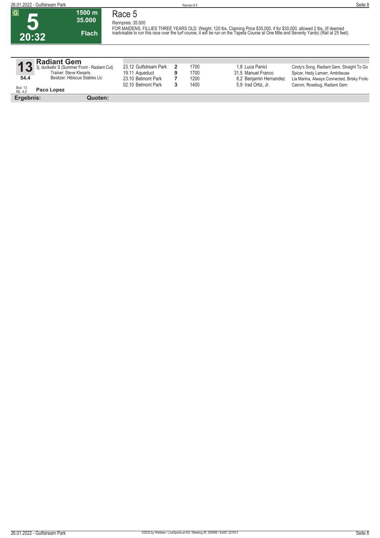**20:32**

#### **1500 m 35.000 Flach Race 5 Rennpreis: 35.000**

FOR MAIDENS, FILLIES THREE YEARS OLD. Weight, 120 lbs. Claiming Price \$35,000, if for \$30,000, allowed 2 lbs. (If deemed<br>inadvisable to run this race over the turf course, it will be run on the Tapeta Course at One Mile an

| 13                 | Radiant Gem<br>3j. dunkelbr S (Summer Front - Radiant Cut)<br>Trainer: Steve Klesaris | 23.12 Gulfstream Park<br>19.11 Agueduct | 1700<br>1700 | 1.8 Luca Panici<br>31,5 Manuel Franco | Cindy's Song, Radiant Gem, Straight To Go<br>Spicer, Hedy Lamarr, Ambitieuse |
|--------------------|---------------------------------------------------------------------------------------|-----------------------------------------|--------------|---------------------------------------|------------------------------------------------------------------------------|
| 54.4               | Besitzer: Hibiscus Stables Llc                                                        | 23.10 Belmont Park                      | 1200         | 8.2 Benjamin Hernandez                | Lia Marina, Always Connected, Brisky Frolic                                  |
| Box: 13<br>ML: 4,0 | Paco Lopez                                                                            | 02.10 Belmont Park                      | 1400         | 5.9 Irad Ortiz, Jr.                   | Caironi, Rosebuq, Radiant Gem                                                |

**Ergebnis: Quoten:**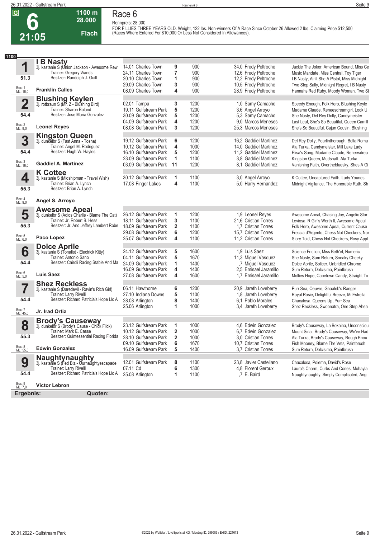**Race 6 Rennpreis: 28.000**



### **28.000 Flach**

**1100 m**

**FOR FILLIES THREE YEARS OLD. Weight, 122 lbs. Non-winners Of A Race Since October 26 Allowed 2 lbs. Claiming Price \$12,500 (Races Where Entered For \$10,000 Or Less Not Considered In Allowances).** 

| 1100                    |                                                                        |                       |                |      |                        |                                              |
|-------------------------|------------------------------------------------------------------------|-----------------------|----------------|------|------------------------|----------------------------------------------|
|                         | I B Nasty                                                              |                       |                |      |                        |                                              |
| 1                       | 3j. kastanie S (Union Jackson - Awesome Rew                            | 14.01 Charles Town    | 9              | 900  | 34,0 Fredy Peltroche   | Jackie The Joker, American Bound, Miss Ce    |
|                         | Trainer: Gregory Viands                                                | 24.11 Charles Town    | 7              | 900  | 12,6 Fredy Peltroche   | Music Mandate, Miss Central, Toy Tiger       |
| 51.3                    | Besitzer: Randolph J. Guill                                            | 20.10 Charles Town    | 1              | 900  | 12,2 Fredy Peltroche   | I B Nasty, Ain't She A Pistol, Miss Midnight |
|                         |                                                                        | 29.09 Charles Town    | 3              | 900  | 10,5 Fredy Peltroche   | Two Step Sally, Midnight Regret, I B Nasty   |
| Box: 1<br>ML: 16,0      | <b>Franklin Calles</b>                                                 | 08.09 Charles Town    | 4              | 900  | 28,9 Fredy Peltroche   | Hannahs Red Ruby, Moody Woman, Two St        |
|                         |                                                                        |                       |                |      |                        |                                              |
| $\overline{\mathbf{2}}$ | <b>Blushing Keylen</b><br>3j. rotbraun S (Mr. Z - Blushing Bird)       | 02.01 Tampa           | 3              | 1200 | 1,0 Samy Camacho       | Speedy Enough, Folk Hero, Blushing Keyle     |
|                         | Trainer: Sharon Boland                                                 | 19.11 Gulfstream Park | 5              | 1200 | 3,6 Angel Arroyo       | Madame Claude, Reneesdreamgirl, Look U       |
| 54.4                    | Besitzer: Jose Maria Gonzalez                                          | 30.09 Gulfstream Park | 5              | 1200 | 5,3 Samy Camacho       | She Nasty, Del Rey Dolly, Candymeister       |
|                         |                                                                        | 04.09 Gulfstream Park | 4              | 1200 | 9.0 Marcos Meneses     | Last Leaf, She's So Beautiful, Queen Camill  |
| Box: 2<br>ML: 9,0       | <b>Leonel Reyes</b>                                                    | 08.08 Gulfstream Park | 3              | 1200 | 25,3 Marcos Meneses    | She's So Beautiful, Cajun Cousin, Blushing   |
|                         | <b>Kingston Queen</b>                                                  |                       |                |      |                        |                                              |
| 3                       | 3j. dunkelbr S (Fast Anna - Tosha)                                     | 19.12 Gulfstream Park | 6              | 1200 | 16,2 Gaddiel Martinez  | Del Rey Dolly, Pearlintherough, Bella Roma   |
|                         | Trainer: Angel M. Rodriguez                                            | 10.12 Gulfstream Park | 4              | 1000 | 14,0 Gaddiel Martinez  | Ala Turka, Candymeister, Mill Lake Lady      |
| 54.4                    | Besitzer: Hugh W. Hayles                                               | 16.10 Gulfstream Park | 5              | 1200 | 11,2 Gaddiel Martinez  | Elisa's Song, Madame Claude, Reneesdrea      |
|                         |                                                                        | 23.09 Gulfstream Park | 1              | 1100 | 3.8 Gaddiel Martinez   | Kingston Queen, Mudshaft, Ala Turka          |
| Box: 3<br>ML: 16,0      | <b>Gaddiel A. Martinez</b>                                             | 03.09 Gulfstream Park | 11             | 1200 | 8.1 Gaddiel Martinez   | Vanishing Faith, Overthebluesky, Shes A Gi   |
|                         |                                                                        |                       |                |      |                        |                                              |
|                         | <b>K</b> Cottee                                                        | 30.12 Gulfstream Park | 1              | 1100 | 3,0 Angel Arroyo       | K Cottee, Uncaptured Faith, Lady Younes      |
| 4                       | 3j. kastanie S (Midshipman - Travel Wish)<br>Trainer: Brian A. Lynch   | 17.08 Finger Lakes    | 4              | 1100 | 5,0 Harry Hernandez    | Midnight Vigilance, The Honorable Ruth, Sh   |
| 55.3                    | Besitzer: Brian A. Lynch                                               |                       |                |      |                        |                                              |
|                         |                                                                        |                       |                |      |                        |                                              |
| Box: 4<br>ML: 9,0       | Angel S. Arroyo                                                        |                       |                |      |                        |                                              |
|                         |                                                                        |                       |                |      |                        |                                              |
| 5                       | <b>Awesome Apeal</b><br>3j. dunkelbr S (Adios Charlie - Blame The Cat) | 26.12 Gulfstream Park | 1              | 1200 | 1,9 Leonel Reyes       | Awesome Apeal, Chasing Joy, Angelic Stor     |
|                         | Trainer: Jr. Robert B. Hess                                            | 18.11 Gulfstream Park | 3              | 1100 | 21.6 Cristian Torres   | Leviosa, R Girl's Werth It, Awesome Apeal    |
| 55.3                    | Besitzer: Jr. And Jeffrey Lambert Robe                                 | 18.09 Gulfstream Park | 2              | 1100 | 1.7 Cristian Torres    | Folk Hero, Awesome Apeal, Current Cause      |
|                         |                                                                        | 29.08 Gulfstream Park | 6              | 1200 | 15,7 Cristian Torres   | Freccia d'Argento, Chess Not Checkers, Nor   |
| Box: 5<br>ML: 6,0       | Paco Lopez                                                             | 25.07 Gulfstream Park | 4              | 1100 | 11,2 Cristian Torres   | Story Told, Chess Not Checkers, Rosy Appl    |
|                         |                                                                        |                       |                |      |                        |                                              |
|                         | <b>Dolce Aprile</b>                                                    | 24.12 Gulfstream Park |                | 1600 | 1.9 Luis Saez          |                                              |
| 6                       | 3j. kastanie S (Tonalist - Electrick Kitty)<br>Trainer: Antonio Sano   |                       | 5<br>5         | 1670 |                        | Science Friction, Miss Beth'el, Numeric      |
| 54.4                    | Besitzer: Cairoli Racing Stable And Ma                                 | 04.11 Gulfstream Park |                |      | 11,3 Miguel Vasquez    | She Nasty, Sum Return, Sneaky Cheeky         |
|                         |                                                                        | 24.09 Gulfstream Park | 1              | 1400 | ,7 Miguel Vasquez      | Dolce Aprile, Splicer, Unbridled Chrome      |
| Box: 6<br>ML: 5,0       | <b>Luis Saez</b>                                                       | 16.09 Gulfstream Park | 4              | 1400 | 2,5 Emisael Jaramillo  | Sum Return, Dolcisima, Paintbrush            |
|                         |                                                                        | 27.08 Gulfstream Park | 4              | 1600 | 1.7 Emisael Jaramillo  | Mollies Hope, Capetown Candy, Straight To    |
|                         | <b>Shez Reckless</b>                                                   |                       |                |      |                        |                                              |
|                         | 3j. kastanie S (Daredevil - Ravin's Rich Girl)                         | 06.11 Hawthorne       | 6              | 1200 | 20,9 Jareth Loveberry  | Purr Sea, Oeuvre, Ghaaleb's Ranger           |
|                         | Trainer: Larry Rivelli                                                 | 27.10 Indiana Downs   | 5              | 1100 | 1,8 Jareth Loveberry   | Royal Rosie, Delightful Breeze, Mi Estrella  |
| 54.4                    | Besitzer: Richard Patricia's Hope Llc A                                | 28.08 Arlington       | 8              | 1400 | 6.1 Pablo Morales      | Chacalosa, Queens Up, Purr Sea               |
| Box: 7<br>ML: 45,0      | Jr. Irad Ortiz                                                         | 25.06 Arlington       | 1              | 1000 | 3,4 Jareth Loveberry   | Shez Reckless, Swoonatra, One Step Ahea      |
|                         |                                                                        |                       |                |      |                        |                                              |
|                         | <b>Brody's Causeway</b>                                                |                       |                |      |                        |                                              |
| 8                       | 3j. dunkelbr S (Brody's Cause - Chick Flick)                           | 23.12 Gulfstream Park | 1              | 1000 | 4,6 Edwin Gonzalez     | Brody's Causeway, La Bokaina, Unconsciou     |
| 55.3                    | Trainer: Mark E. Casse<br>Besitzer: Quintessential Racing Florida      | 10.12 Gulfstream Park | $\overline{2}$ | 1000 | 6.7 Edwin Gonzalez     | Mount Sinai, Brody's Causeway, We've Had     |
|                         |                                                                        | 28.10 Gulfstream Park | 2              | 1000 | 3,0 Cristian Torres    | Ala Turka, Brody's Causeway, Rough Enou      |
|                         |                                                                        | 09.10 Gulfstream Park | 6              | 1670 | 10,7 Cristian Torres   | Fish Mooney, Blame The Vets, Paintbrush      |
| Box: 8<br>ML: 55,0      | <b>Edwin Gonzalez</b>                                                  | 16.09 Gulfstream Park | 5              | 1400 | 3,7 Cristian Torres    | Sum Return, Dolcisima, Paintbrush            |
|                         | Naughtynaughty                                                         |                       |                |      |                        |                                              |
| 9                       | 3j. kastanie S (Fed Biz - Ournaughtyescapade                           | 12.01 Gulfstream Park | 8              | 1100 | 23,8 Javier Castellano | Chacalosa, Poiema, David's Rose              |
|                         | Trainer: Larry Rivelli                                                 | 07.11 Cd              | 6              | 1300 | 4.8 Florent Geroux     | Laura's Charm, Curbs And Cones, Mohayla      |
| 54.4                    | Besitzer: Richard Patricia's Hope Llc A                                | 25.08 Arlington       | 1              | 1100 | ,7 E. Baird            | Naughtynaughty, Simply Complicated, Angi     |
|                         |                                                                        |                       |                |      |                        |                                              |
| Box: 9<br>ML: 7,0       | <b>Victor Lebron</b>                                                   |                       |                |      |                        |                                              |

**Ergebnis: Quoten:**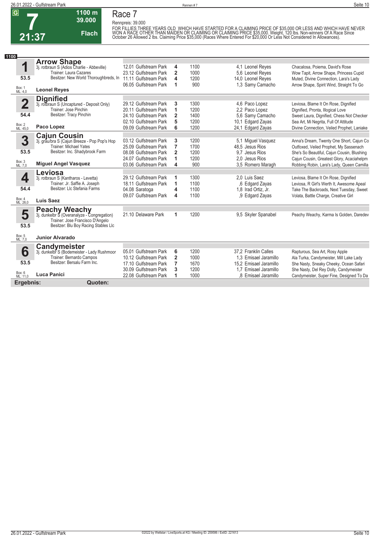

**Race 7**

**Rennpreis: 39.000**

**39.000 Flach**

**1100 m**

FOR FILLIES THREE YEARS OLD WHICH HAVE STARTED FOR A CLAIMING PRICE OF \$35,000 OR LESS AND WHICH HAVE NEVER<br>WON A RACE OTHER THAN MAIDEN OR CLAIMING OR CLAIMING PRICE \$35,000. Weight, 120 lbs. Non-winners Of A Race Since<br>

| 1100                    |                                                                                 |                                                |                              |              |                                       |                                            |
|-------------------------|---------------------------------------------------------------------------------|------------------------------------------------|------------------------------|--------------|---------------------------------------|--------------------------------------------|
|                         | <b>Arrow Shape</b>                                                              |                                                |                              |              |                                       |                                            |
| 1                       | 3j. rotbraun S (Adios Charlie - Abbeville)<br>Trainer: Laura Cazares            | 12.01 Gulfstream Park<br>23.12 Gulfstream Park | 4                            | 1100<br>1000 | 4,1 Leonel Reves                      | Chacalosa, Poiema, David's Rose            |
| 53.5                    | Besitzer: New World Thoroughbreds, In                                           | 11.11 Gulfstream Park                          | $\overline{\mathbf{2}}$<br>4 | 1200         | 5.6 Leonel Reves<br>14,0 Leonel Reves | Wow Tapit, Arrow Shape, Princess Cupid     |
|                         |                                                                                 | 06.05 Gulfstream Park                          | 1                            | 900          |                                       | Muted, Divine Connection, Lara's Lady      |
| Box: 1<br>ML: 4,0       | <b>Leonel Reves</b>                                                             |                                                |                              |              | 1,3 Samy Camacho                      | Arrow Shape, Spirit Wind, Straight To Go   |
|                         | <b>Dignified</b>                                                                |                                                |                              |              |                                       |                                            |
| $\overline{\mathbf{2}}$ | 3j. rotbraun S (Uncaptured - Deposit Only)                                      | 29.12 Gulfstream Park                          | 3                            | 1300         | 4,6 Paco Lopez                        | Leviosa, Blame It On Rose, Dignified       |
|                         | Trainer: Jose Pinchin                                                           | 20.11 Gulfstream Park                          | 1                            | 1200         | 2.2 Paco Lopez                        | Dignified, Pronta, Illogical Love          |
| 54.4                    | Besitzer: Tracy Pinchin                                                         | 24.10 Gulfstream Park                          | 2                            | 1400         | 5.6 Samy Camacho                      | Sweet Laura, Dignified, Chess Not Checker  |
|                         |                                                                                 | 02.10 Gulfstream Park                          | 5                            | 1200         | 10,1 Edgard Zayas                     | Sea Art, Mi Negrita, Full Of Attitude      |
| Box: 2<br>ML: 45,0      | Paco Lopez                                                                      | 09.09 Gulfstream Park                          | 6                            | 1200         | 24,1 Edgard Zayas                     | Divine Connection, Veiled Prophet, Laniake |
|                         | <b>Cajun Cousin</b>                                                             |                                                |                              |              |                                       |                                            |
| 3                       | 3j. grau/bra S (Cajun Breeze - Pop Pop's Hop                                    | 03.12 Gulfstream Park                          | 3                            | 1200         | 5.1 Miquel Vasquez                    | Anna's Dream, Twenty One Short, Cajun Co   |
|                         | <b>Trainer: Michael Yates</b>                                                   | 25.09 Gulfstream Park                          | 7                            | 1700         | 48.5 Jesus Rios                       | Outfoxed, Veiled Prophet, My Sassenach     |
| 53.5                    | Besitzer: Inc. Shadybrook Farm                                                  | 08.08 Gulfstream Park                          | $\overline{2}$               | 1200         | 9.7 Jesus Rios                        | She's So Beautiful, Cajun Cousin, Blushing |
|                         |                                                                                 | 24.07 Gulfstream Park                          | 1                            | 1200         | 2.0 Jesus Rios                        | Cajun Cousin, Greatest Glory, Acaciahelpm  |
| Box: 3<br>ML: 7,0       | <b>Miguel Angel Vasquez</b>                                                     | 03.06 Gulfstream Park                          | 4                            | 900          | 3.5 Romero Maragh                     | Robbing Robin, Lara's Lady, Queen Camilla  |
|                         | Leviosa                                                                         |                                                |                              |              |                                       |                                            |
| 4                       | 3j. rotbraun S (Kantharos - Levetta)                                            | 29.12 Gulfstream Park                          | 1                            | 1300         | 2.0 Luis Saez                         | Leviosa, Blame It On Rose, Dignified       |
|                         | Trainer: Jr. Saffie A. Joseph                                                   | 18.11 Gulfstream Park                          | 1                            | 1100         | ,6 Edgard Zayas                       | Leviosa, R Girl's Werth It, Awesome Apeal  |
| 54.4                    | Besitzer: Llc Stefania Farms                                                    | 04.08 Saratoga                                 | 4                            | 1100         | 1.8 Irad Ortiz, Jr.                   | Take The Backroads, Next Tuesday, Sweet    |
|                         |                                                                                 | 09.07 Gulfstream Park                          | 4                            | 1100         | ,9 Edgard Zayas                       | Volata, Battle Charge, Creative Girl       |
| Box: 4<br>ML: 26,0      | Luis Saez                                                                       |                                                |                              |              |                                       |                                            |
| 5                       | <b>Peachy Weachy</b>                                                            | 21.10 Delaware Park                            |                              | 1200         |                                       |                                            |
|                         | 3j. dunkelbr S (Overanalyze - Congregation)<br>Trainer: Jose Francisco D'Angelo |                                                | 1                            |              | 9,5 Skyler Spanabel                   | Peachy Weachy, Karma Is Golden, Daredev    |
| 53.5                    | Besitzer: Blu Boy Racing Stables Llc                                            |                                                |                              |              |                                       |                                            |
| Box: 5<br>ML: 7,0       | <b>Junior Alvarado</b>                                                          |                                                |                              |              |                                       |                                            |
|                         | Candymeister                                                                    |                                                |                              |              |                                       |                                            |
| 6                       | 3j. dunkelbr S (Bodemeister - Lady Rushmoor                                     | 05.01 Gulfstream Park                          | 6                            | 1200         | 37.2 Franklin Calles                  | Rapturous, Sea Art, Rosy Apple             |
|                         | Trainer: Bernardo Campos                                                        | 10.12 Gulfstream Park                          | $\overline{2}$               | 1000         | 1,3 Emisael Jaramillo                 | Ala Turka, Candymeister, Mill Lake Lady    |
| 53.5                    | Besitzer: Bersalu Farm Inc.                                                     | 17.10 Gulfstream Park                          | 7                            | 1670         | 15.2 Emisael Jaramillo                | She Nasty, Sneaky Cheeky, Ocean Safari     |
|                         |                                                                                 | 30.09 Gulfstream Park                          | 3                            | 1200         | 1.7 Emisael Jaramillo                 | She Nasty, Del Rey Dolly, Candymeister     |
| Box: 6<br>ML: 11,0      | <b>Luca Panici</b>                                                              | 22.08 Gulfstream Park                          | 1                            | 1000         | .8 Emisael Jaramillo                  | Candymeister, Super Fine, Designed To Da   |
| Ergebnis:               | Quoten:                                                                         |                                                |                              |              |                                       |                                            |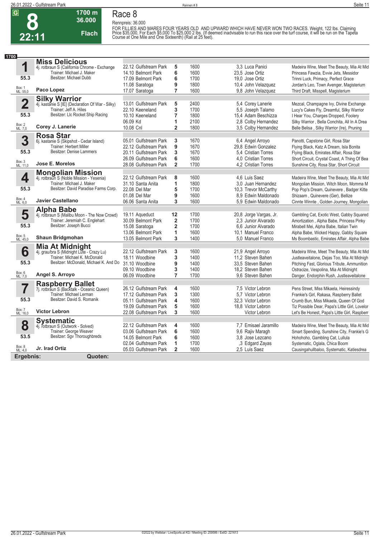

#### **Race 8 Rennpreis: 36.000**

**36.000 Flach**

**1700 m**

FOR FILLIES AND MARES FOUR YEARS OLD AND UPWARD WHICH HAVE NEVER WON TWO RACES. Weight, 122 lbs. Claiming<br>Price \$35,000, For Each \$5,000 To \$25,000 2 lbs. (If deemed inadvisable to run this race over the turf course, it w

| 1700                    |                                                  |                       |                         |      |                        |                                                |
|-------------------------|--------------------------------------------------|-----------------------|-------------------------|------|------------------------|------------------------------------------------|
|                         | <b>Miss Delicious</b>                            |                       |                         |      |                        |                                                |
| 1                       | 4j. rotbraun S (California Chrome - Exchange     | 22.12 Gulfstream Park | 5                       | 1600 | 3.3 Luca Panici        | Madeira Wine, Meet The Beauty, Mia At Mid      |
|                         | Trainer: Michael J. Maker                        | 14.10 Belmont Park    | 6                       | 1600 | 23.5 Jose Ortiz        | Princess Fawzia, Evvie Jets, Messidor          |
| 55.3                    | Besitzer: Michael Dubb                           | 17.09 Belmont Park    | 6                       | 1700 | 19.0 Jose Ortiz        | Trinni Luck, Primacy, Perfect Grace            |
|                         |                                                  | 11.08 Saratoga        | 9                       | 1800 | 10,4 John Velazquez    | Jordan's Leo, Town Avenger, Magisterium        |
| Box: 1<br>ML: 55,0      | Paco Lopez                                       | 17.07 Saratoga        | $\overline{7}$          | 1600 | 9.8 John Velazquez     | Third Draft, Misspell, Magisterium             |
|                         | <b>Silky Warrior</b>                             |                       |                         |      |                        |                                                |
| $\overline{\mathbf{2}}$ | 4j. kastanie S [IE] (Declaration Of War - Silky) | 13.01 Gulfstream Park | 5                       | 2400 | 5,4 Corey Lanerie      | Mezcal, Champagne Ivy, Divine Exchange         |
|                         | Trainer: Jeff A. Hiles                           | 22.10 Keeneland       | 3                       | 1700 | 5,5 Joseph Talamo      | Lucy's Cakes Fly, Dreamful, Silky Warrior      |
| 55.3                    | Besitzer: LIc Rocket Ship Racing                 | 10.10 Keeneland       | 7                       | 1800 | 15.4 Adam Beschizza    | I Hear You, Charges Dropped, Foolery           |
|                         |                                                  | 06.09 Kd              | 1                       | 2100 | 2.8 Colby Hernandez    | Silky Warrior, Bella Conchita, All In A Drea   |
| Box: 2<br>ML: 7,0       | Corey J. Lanerie                                 | 10.08 Cnl             | $\overline{\mathbf{2}}$ | 1800 | 3,5 Colby Hernandez    | Belle Belisa, Silky Warrior (Ire), Pruning     |
|                         | <b>Rosa Star</b>                                 |                       |                         |      |                        |                                                |
| 3                       | 6j. kastanie S (Skipshot - Cedar Island)         | 05.01 Gulfstream Park | 3                       | 1670 | 6,4 Angel Arroyo       | Panotti, Capstone Girl, Rosa Star              |
|                         | Trainer: Herbert Miller                          | 22.12 Gulfstream Park | 9                       | 1670 | 29,8 Edwin Gonzalez    | Flying Black, Katz A Dream, Isla Bonita        |
| 55.3                    | <b>Besitzer: Denise Lammers</b>                  | 20.11 Gulfstream Park | 3                       | 1670 | 5.4 Cristian Torres    | Flying Black, Emirates Affair, Rosa Star       |
|                         |                                                  | 26.09 Gulfstream Park | 6                       | 1600 | 4.0 Cristian Torres    | Short Circuit, Crystal Coast, A Thing Of Bea   |
| Box: 3<br>ML: 11,0      | <b>Jose E. Morelos</b>                           | 28.08 Gulfstream Park | $\overline{2}$          | 1700 | 4.2 Cristian Torres    | Sunshine City, Rosa Star, Short Circuit        |
|                         | <b>Mongolian Mission</b>                         |                       |                         |      |                        |                                                |
| 4                       | 4j. rotbraun S (Noble Mission - Yesenia)         | 22.12 Gulfstream Park | 8                       | 1600 | 4,6 Luis Saez          | Madeira Wine, Meet The Beauty, Mia At Mid      |
|                         | Trainer: Michael J. Maker                        | 31.10 Santa Anita     | 1                       | 1800 | 3.0 Juan Hernandez     | Mongolian Mission, Witch Moon, Momma M         |
| 55.3                    | Besitzer: David Paradise Farms Corp.             | 22.08 Del Mar         | 5                       | 1700 | 10.3 Trevor McCarthy   | Pop Pop's Dream, Quinevere, Badger Kitte       |
|                         |                                                  | 01.08 Del Mar         | 9                       | 1600 | 8.9 Edwin Maldonado    | Shizaam, Quinevere (Ger), Bellize              |
| Box: 4<br>ML: 6,0       | Javier Castellano                                | 06.06 Santa Anita     | 3                       | 1600 | 5.9 Edwin Maldonado    | Cinnte Winnte, Golden Journey, Mongolian       |
|                         | <b>Alpha Babe</b>                                |                       |                         |      |                        |                                                |
| 5                       | 4j. rotbraun S (Malibu Moon - The Now Crowd)     | 19.11 Aqueduct        | 12                      | 1700 | 20,8 Jorge Vargas, Jr. | Gambling Cat, Exotic West, Gabby Squared       |
|                         | Trainer: Jeremiah C. Englehart                   | 30.09 Belmont Park    | $\overline{\mathbf{2}}$ | 1700 | 2,3 Junior Alvarado    | Amortization, Alpha Babe, Princess Pinky       |
| 55.3                    | Besitzer: Joseph Bucci                           | 15.08 Saratoga        | $\overline{\mathbf{2}}$ | 1700 | 6.6 Junior Alvarado    | Mirabell Mei, Alpha Babe, Italian Twin         |
|                         |                                                  | 13.06 Belmont Park    | 1                       | 1600 | 10.1 Manuel Franco     | Alpha Babe, Wicked Happy, Gabby Square         |
| Box: 5<br>ML: 45,0      | <b>Shaun Bridgmohan</b>                          | 13.05 Belmont Park    | 3                       | 1400 | 5.0 Manuel Franco      | Ms Boombastic, Emirates Affair, Alpha Babe     |
|                         | <b>Mia At Midnight</b>                           |                       |                         |      |                        |                                                |
| 6                       | 4j. grau/bra S (Midnight Lute - Crazy Lu)        | 22.12 Gulfstream Park | 3                       | 1600 | 21,9 Angel Arroyo      | Madeira Wine, Meet The Beauty, Mia At Mid      |
|                         | Trainer: Michael K. McDonald                     | 18.11 Woodbine        | 3                       | 1400 | 11.2 Steven Bahen      | Justleaveitalone, Dejas Too, Mia At Midnigh    |
| 55.3                    | Besitzer: McDonald, Michael K. And Do            | 31.10 Woodbine        | 9                       | 1400 | 33.5 Steven Bahen      | Pitching Fast, Glorious Tribute, Ammunition    |
|                         |                                                  | 09.10 Woodbine        | 3                       | 1400 | 18.2 Steven Bahen      | Ostracize, Vespolina, Mia At Midnight          |
| Box: 6<br>ML: 7,0       | Angel S. Arroyo                                  | 06.09 Woodbine        | $\overline{7}$          | 1700 | 9.6 Steven Bahen       | Danger, Endorphin Rush, Justleaveitalone       |
|                         | <b>Raspberry Ballet</b>                          |                       |                         |      |                        |                                                |
| 7                       | 7j. rotbraun S (Backtalk - Oceanic Queen)        | 26.12 Gulfstream Park | 4                       | 1600 | 7.5 Victor Lebron      | Pens Street, Miss Mikaela, Heiressindy         |
|                         | Trainer: Michael Lerman                          | 17.12 Gulfstream Park | 3                       | 1300 | 5.7 Victor Lebron      | Frankie's Girl, Rakasa, Raspberry Ballet       |
| 55.3                    | Besitzer: David S. Romanik                       | 05.11 Gulfstream Park | 4                       | 1600 | 32.3 Victor Lebron     | Crumb Bun, Miss Mikaela, Queen Of God          |
|                         |                                                  | 19.09 Gulfstream Park | 5                       | 1600 | 18,8 Victor Lebron     | Tiz Possible Dear, Papa's Little Girl, Lovelor |
| Box: 7<br>ML: 16,0      | <b>Victor Lebron</b>                             | 22.08 Gulfstream Park | 3                       | 1600 | Victor Lebron          | Let's Be Honest, Papa's Little Girl, Raspberr  |
|                         | <b>Systematic</b>                                |                       |                         |      |                        |                                                |
| 8                       | 4j. rotbraun S (Outwork - Solved)                | 22.12 Gulfstream Park | 4                       | 1600 | 7.7 Emisael Jaramillo  | Madeira Wine, Meet The Beauty, Mia At Mid      |
|                         | Trainer: George Weaver                           | 03.06 Gulfstream Park | 6                       | 1600 | 9,6 Rajiv Maragh       | Smart Spending, Sunshine City, Frankie's G     |
| 53.5                    | Besitzer: Sgv Thoroughbreds                      | 14.05 Belmont Park    | 6                       | 1600 | 3.8 Jose Lezcano       | Hohohoho, Gambling Cat, Lullula                |
|                         |                                                  | 02.04 Gulfstream Park | 1                       | 1700 | 3 Edgard Zayas         | Systematic, Oglala, Chica Boom                 |
| Box: 8<br>ML: 4,0       | Jr. Irad Ortiz                                   | 05.03 Gulfstream Park | $\overline{2}$          | 1600 | 2.5 Luis Saez          | Causingahullbaloo, Systematic, Katiesdrea      |
| Ergebnis:               | Quoten:                                          |                       |                         |      |                        |                                                |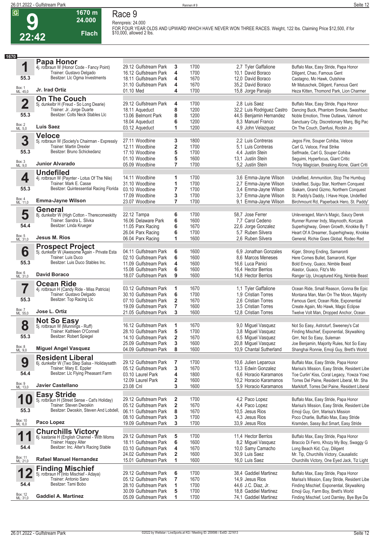

# **Race 9**

**1670 m 24.000** 

**Flach**

**Rennpreis: 24.000 FOR FOUR YEAR OLDS AND UPWARD WHICH HAVE NEVER WON THREE RACES. Weight, 122 lbs. Claiming Price \$12,500, if for \$10,000, allowed 2 lbs.** 

|                         | 66 T 6                                                                   |                                                |                              |              |                                                |                                                                                        |
|-------------------------|--------------------------------------------------------------------------|------------------------------------------------|------------------------------|--------------|------------------------------------------------|----------------------------------------------------------------------------------------|
|                         |                                                                          |                                                |                              |              |                                                |                                                                                        |
| 1670                    |                                                                          |                                                |                              |              |                                                |                                                                                        |
|                         | <b>Papa Honor</b><br>4j. rotbraun W (Honor Code - Fancy Point)           | 29.12 Gulfstream Park                          | 3                            | 1700         | 2,7 Tyler Gaffalione                           | Buffalo Max, Easy Stride, Papa Honor                                                   |
|                         | Trainer: Gustavo Delgado                                                 | 16.12 Gulfstream Park                          | 4                            | 1700         | 10,1 David Boraco                              | Diligent, Chao, Famous Gent                                                            |
| 55.3                    | Besitzer: Llc Ogma Investments                                           | 18.11 Gulfstream Park                          | 4                            | 1670         | 12,0 David Boraco                              | Castagno, Mo Hawk, Outshine                                                            |
|                         |                                                                          | 31.10 Gulfstream Park                          | 4                            | 1670         | 35,2 David Boraco                              | Mr Matuschek, Diligent, Famous Gent                                                    |
| Box: 1<br>ML: 45,0      | Jr. Irad Ortiz                                                           | 01.10 Med                                      | 4                            | 1700         | 15,8 Jorge Panaijo                             | Heza Kitten, Thomond Park, Lion Charmer                                                |
|                         | <b>On The Couch</b>                                                      |                                                |                              |              |                                                |                                                                                        |
| $\overline{\mathbf{2}}$ | 5j. dunkelbr H (Freud - So Long Dearie)                                  | 29.12 Gulfstream Park                          | 4                            | 1700         | 2.8 Luis Saez                                  | Buffalo Max, Easy Stride, Papa Honor                                                   |
|                         | Trainer: Jr. Jorge Duarte<br>Besitzer: Colts Neck Stables Llc            | 18.11 Aqueduct                                 | 8                            | 1200         | 32,2 Luis Rodriguez Castro                     | Dancing Buck, Phantom Smoke, Swashbuc                                                  |
| 55.3                    |                                                                          | 13.06 Belmont Park                             | 8                            | 1200         | 44,5 Benjamin Hernandez                        | Noble Emotion, Three Outlaws, Valmont                                                  |
| Box: 2<br>ML: 5,0       | <b>Luis Saez</b>                                                         | 18.04 Aqueduct<br>03.12 Aqueduct               | 6<br>1                       | 1200<br>1200 | 8.3 Manuel Franco<br>4.9 John Velazquez        | Sanctuary City, Discretionary Marq, Big Pac<br>On The Couch, Danfusi, Rockin Jo        |
|                         | <b>Veloce</b>                                                            |                                                |                              |              |                                                |                                                                                        |
| 3                       | 5j. rotbraun W (Society's Chairman - Expressly                           | 27.11 Woodbine                                 | 3                            | 1800         | 2.2 Luis Contreras                             | Jegos Fire, Souper Cohiba, Veloce                                                      |
|                         | Trainer: Martin Drexler                                                  | 12.11 Woodbine                                 | 2                            | 1700         | 5,1 Luis Contreras                             | Carl G, Veloce, Final Strike                                                           |
| 55.3                    | Besitzer: Bruno Schickedanz                                              | 17.10 Woodbine                                 | 5                            | 1700         | 4.4 Justin Stein                               | Selfmade, Carl G, Souper Cohiba                                                        |
|                         |                                                                          | 01.10 Woodbine                                 | 5                            | 1600         | 13.1 Justin Stein                              | Seguimi, Hyperfocus, Giant Critic                                                      |
| Box: 3<br>ML: 9,0       | Junior Alvarado                                                          | 05.09 Woodbine                                 | $\overline{7}$               | 1700         | 5.2 Justin Stein                               | Tricky Magician, Breaking Alone, Giant Criti                                           |
|                         | <b>Undefiled</b>                                                         |                                                |                              |              |                                                |                                                                                        |
| 4                       | 4j. rotbraun W (Paynter - Lotus Of The Nile)                             | 14.11 Woodbine                                 | 1                            | 1700         | 3,6 Emma-Jayne Wilson                          | Undefiled, Ammunition, Stop The Humbug                                                 |
| 55.3                    | Trainer: Mark E. Casse<br>Besitzer: Quintessential Racing Florida        | 31.10 Woodbine                                 | 1                            | 1700         | 2,7 Emma-Jayne Wilson                          | Undefiled, Suigu Star, Northern Conquest                                               |
|                         |                                                                          | 03.10 Woodbine<br>17.09 Woodbine               | $\overline{\mathbf{r}}$<br>3 | 1700<br>1700 | 3,4 Emma-Jayne Wilson<br>3,7 Emma-Jayne Wilson | Siakam, Grand Gizmo, Northern Conquest<br>St. Paddy's Daddy, I Have Hope, Undefiled    |
| Box: 4<br>ML: 11,0      | <b>Emma-Jayne Wilson</b>                                                 | 23.07 Woodbine                                 | $\overline{7}$               | 1700         | 9,1 Emma-Jayne Wilson                          | Birchmount Rd, Paperback Hero, St. Paddy'                                              |
|                         | General                                                                  |                                                |                              |              |                                                |                                                                                        |
| 5                       | 8j. dunkelbr W (High Cotton - Therecomeskitty                            | 22.12 Tampa                                    | 6                            | 1700         | 58,7 Jose Ferrer                               | Unleveraged, Marv's Magic, Saucy Derek                                                 |
|                         | Trainer: Sandra L. Slivka                                                | 16.06 Delaware Park                            | 6                            | 1600         | 7,7 Carol Cedeno                               | Runner Runner Indy, Maynooth, Korczak                                                  |
| 54.4                    | Besitzer: Linda Krueger                                                  | 11.05 Parx Racing                              | 6                            | 1670         | 22,6 Jorge Gonzalez                            | Superhighway, Green Growth, Knokke By T                                                |
|                         |                                                                          | 26.04 Parx Racing                              | 6                            | 1700         | 5,7 Ruben Silvera                              | Heart Of A Dreamer, Superhighway, Knokke                                               |
| Box: 5<br>ML: 31,0      | Jesus M. Rios                                                            | 06.04 Parx Racing                              | 1                            | 1600         | 2.6 Ruben Silvera                              | General, Richie Goes Global, Rodeo Red                                                 |
|                         | <b>Prospect Project</b>                                                  |                                                |                              |              |                                                |                                                                                        |
| 6                       | 5j. dunkelbr W (Awesome Again - Private Esta                             | 04.11 Gulfstream Park                          | 6                            | 1600         | 6.9 Jonathan Gonzales                          | Kiger, Strong Ending, Samaronti                                                        |
|                         | Trainer: Luis Duco<br>Besitzer: Luis Duco Stables Inc.                   | 02.10 Gulfstream Park                          | 6                            | 1600         | 8.6 Marcos Meneses                             | Here Comes Bullet, Samaronti, Kiger                                                    |
| 55.3                    |                                                                          | 11.09 Gulfstream Park                          | 4                            | 1600         | 16,6 Luca Panici                               | Bold Envoy, Guaco, Nimble Beast                                                        |
| Box: 6<br>ML: 31,0      | <b>David Boraco</b>                                                      | 15.08 Gulfstream Park<br>18.07 Gulfstream Park | 6<br>9                       | 1600<br>1600 | 16,4 Hector Berrios<br>14,8 Hector Berrios     | Alastor, Guaco, Fitz's Mo                                                              |
|                         |                                                                          |                                                |                              |              |                                                | Ranger Up, Uncaptured King, Nimble Beast                                               |
|                         | <b>Ocean Ride</b><br>4j. rotbraun H (Candy Ride - Miss Patricia)         | 03.12 Gulfstream Park                          | 1                            | 1670         | 1,1 Tyler Gaffalione                           | Ocean Ride, Small Reason, Gonna Be Epic                                                |
|                         | Trainer: Gustavo Delgado                                                 | 30.10 Gulfstream Park                          | 6                            | 1700         | 1.9 Cristian Torres                            | Montana Man, Man On The Moon, Majority                                                 |
| 55.3                    | Besitzer: Top Racing Llc                                                 | 07.10 Gulfstream Park                          | 2                            | 1670         | 2,6 Cristian Torres                            | Famous Gent, Ocean Ride, Exponential                                                   |
|                         |                                                                          | 19.09 Gulfstream Park                          | 7                            | 1600         | 3.5 Cristian Torres                            | Create Again, Mo Hawk, Magic Eclipse                                                   |
| Box: 7<br>ML: 55,0      | Jose L. Ortiz                                                            | 21.05 Gulfstream Park                          | 3                            | 1600         | 12,8 Cristian Torres                           | Twelve Volt Man, Dropped Anchor, Ocean                                                 |
| $\mathbf Q$             | <b>Not So Easy</b>                                                       |                                                |                              |              |                                                |                                                                                        |
| $\mathbf O$             | 5j. rotbraun W (Munnings - Ruff)                                         | 16.12 Gulfstream Park                          |                              | 1670         | 9,0 Miguel Vasquez                             | Not So Easy, Astroturf, Sweeney's Cat                                                  |
| 55.3                    | Trainer: Kathleen O'Connell<br>Besitzer: Robert Spiegel                  | 28.10 Gulfstream Park                          | 5                            | 1700         | 3,8 Miguel Vasquez                             | Finding Mischief, Exponential, Skywalking                                              |
|                         |                                                                          | 14.10 Gulfstream Park                          | 2                            | 1670         | 6,5 Miguel Vasquez                             | Grrr, Not So Easy, Suleman                                                             |
| Box: 8<br>ML: 9,0       | <b>Miguel Angel Vasquez</b>                                              | 25.09 Gulfstream Park<br>04.09 Gulfstream Park | 3<br>8                       | 1600<br>1600 | 20,8 Miguel Vasquez<br>10,9 Chantal Sutherland | Joe Benjamin, Majority Rules, Not So Easy<br>Shanghai Ronnie, Emoji Guy, Brett's World |
|                         |                                                                          |                                                |                              |              |                                                |                                                                                        |
| 9                       | <b>Resident Liberal</b><br>6j. dunkelbr W (Two Step Salsa - Holidaysatth | 29.12 Gulfstream Park                          | 7                            | 1700         | 10,6 Julien Leparoux                           | Buffalo Max, Easy Stride, Papa Honor                                                   |
|                         | Trainer: Mary E. Eppler                                                  | 05.12 Gulfstream Park                          | 3                            | 1670         | 13,3 Edwin Gonzalez                            | Marisa's Mission, Easy Stride, Resident Libe                                           |
| 54.4                    | Besitzer: Llc Flying Pheasant Farm                                       | 03.10 Laurel Park                              | 4                            | 1800         | 6.6 Horacio Karamanos                          | Toe Curlin' Kiss, Coral Legacy, Yowza Yowz                                             |

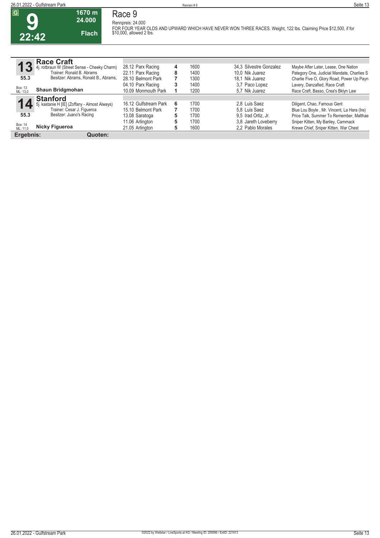**22:42**

**Race 9 Rennpreis: 24.000**

**1670 m 24.000** 

**Flach**

**FOR FOUR YEAR OLDS AND UPWARD WHICH HAVE NEVER WON THREE RACES. Weight, 122 lbs. Claiming Price \$12,500, if for \$10,000, allowed 2 lbs.** 

| G                   | <b>Race Craft</b>                                                           |                       |   |      |                         |                                            |
|---------------------|-----------------------------------------------------------------------------|-----------------------|---|------|-------------------------|--------------------------------------------|
| 13                  | 4j. rotbraun W (Street Sense - Cheeky Charm)                                | 28.12 Parx Racing     | 4 | 1600 | 34.3 Silvestre Gonzalez | Maybe After Later, Lease, One Nation       |
|                     | Trainer: Ronald B. Abrams                                                   | 22.11 Parx Racing     | 8 | 1400 | 10.0 Nik Juarez         | Pategory One, Judicial Mandate, Charlies S |
| 55.3                | Besitzer: Abrams, Ronald B., Abrams,                                        | 28.10 Belmont Park    |   | 1300 | 18.1 Nik Juarez         | Charlie Five O, Glory Road, Power Up Payn  |
|                     |                                                                             | 04.10 Parx Racing     | 3 | 1400 | 3.7 Paco Lopez          | Lavery, Danzafied, Race Craft              |
| Box: 13<br>ML: 13,0 | <b>Shaun Bridgmohan</b>                                                     | 10.09 Monmouth Park   |   | 1200 | 5.7 Nik Juarez          | Race Craft, Basso, Crea's Bklyn Law        |
|                     | <b>Stanford</b>                                                             |                       |   |      |                         |                                            |
|                     |                                                                             | 16.12 Gulfstream Park | 6 | 1700 | 2.8 Luis Saez           | Diligent, Chao, Famous Gent                |
|                     | 5j. kastanie H [IE] (Zoffany - Almost Always)<br>Trainer: Cesar J. Figueroa | 15.10 Belmont Park    |   | 1700 | 5.8 Luis Saez           | Blue Lou Boyle, Mr. Vincent, La Hara (Ire) |
| 55.3                | Besitzer: Juano's Racing                                                    | 13.08 Saratoga        | 5 | 1700 | 9.5 Irad Ortiz. Jr.     | Price Talk, Summer To Remember, Malthae    |
|                     |                                                                             | 11.06 Arlington       |   | 1700 | 3.8 Jareth Loveberry    | Sniper Kitten, My Bariley, Cammack         |
| Box: 14<br>ML: 11.0 | Nicky Figueroa                                                              | 21.05 Arlington       | 5 | 1600 | 2.2 Pablo Morales       | Krewe Chief, Sniper Kitten, War Chest      |
| Ergebnis:           | Quoten:                                                                     |                       |   |      |                         |                                            |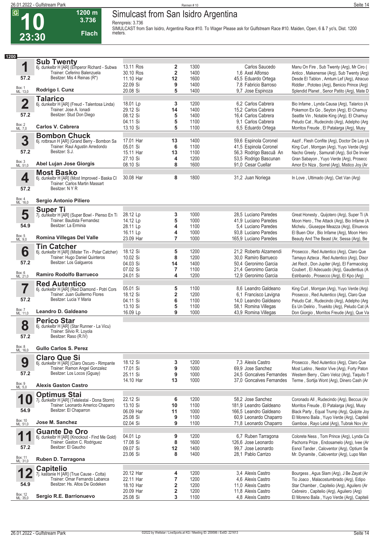$\overline{G}$ 

**23:30**

# **Simulcast from San Isidro Argentina**

**Rennpreis: 3.736**

**3.736 Flach**

**1200 m**

**SIMULCAST from San Isidro, Argentina Race #10. To Wager Please ask for Gulfstream Race #10. Maiden, Open, 6 & 7 yo's, Dist. 1200 meters.** 

| 1200                |                                                                                     |                      |                         |              |                                                |                                                                                            |
|---------------------|-------------------------------------------------------------------------------------|----------------------|-------------------------|--------------|------------------------------------------------|--------------------------------------------------------------------------------------------|
|                     | <b>Sub Twenty</b>                                                                   |                      |                         |              |                                                |                                                                                            |
| 1                   | 6j. dunkelbr H [AR] (Emperor Richard - Subwa                                        | 13.11 Ros            | $\overline{2}$          | 1300         | Carlos Saucedo                                 | Manu On Fire, Sub Twenty (Arg), Mr Ciro (                                                  |
|                     | Trainer: Ceferino Balenzuela                                                        | 30.10 Ros            | $\mathbf 2$             | 1400         | 1,6 Axel Alfonso                               | Antico, Makenense (Arg), Sub Twenty (Arg)                                                  |
| 57.2                | Besitzer: Mis 4 Reinas (R*)                                                         | 11.10 Har            | 12                      | 1600         | 45,5 Eduardo Ortega                            | Desde El Tablon, Amtum Lef (Arg), Atracuo                                                  |
|                     |                                                                                     | 22.09 Si             | 9                       | 1400         | 7,8 Fabricio Barroso                           | Riddler, Pototeo (Arg), Benicio Prince (Arg)                                               |
| Box: 1<br>ML: 13,0  | Rodrigo I. Cunz                                                                     | 20.08 Si             | 5                       | 1400         | 9,7 Jose Espinoza                              | Splendid Planet, Senor Patito (Arg), Mate D                                                |
|                     | <b>Talarico</b>                                                                     |                      |                         |              |                                                |                                                                                            |
| $\overline{2}$      | 6j. dunkelbr H [AR] (Freud - Talentosa Linda)                                       | 18.01 Lp             | 3                       | 1200         | 6.2 Carlos Cabrera                             | Bio Infame, Lynda Causa (Arg), Talarico (A                                                 |
|                     | Trainer: Jose A. Ionadi                                                             | 29.12 Si             | 14                      | 1400         | 15,2 Carlos Cabrera                            | Pokemon Ex Go, Seyton (Arg), El Chamuy                                                     |
| 57.2                | Besitzer: Stud Don Diego                                                            | 08.12 Si             | 5                       | 1400         | 16,4 Carlos Cabrera                            | Seattle Vin, Notable King (Arg), El Chamuy                                                 |
|                     |                                                                                     | 04.11 Si             | 5                       | 1100         | 9.1 Carlos Cabrera                             | Peludo Cat, Rudecindo (Arg), Adelpho (Arg                                                  |
| Box: 2<br>ML: 7,0   | Carlos V. Cabrera                                                                   | 13.10 Si             | 5                       | 1100         | 6,5 Eduardo Ortega                             | Morritos Freude, El Patalarga (Arg), Musy                                                  |
|                     | <b>Bombon Chuck</b>                                                                 |                      |                         |              |                                                |                                                                                            |
| 3                   | 6j. rotbraun H [AR] (Grand Berry - Bombon Sa                                        | 17.01 Har            | 13                      | 1400         | 59,6 Espinola Coronel                          | Aazif, Flesh Confite (Arg), Doctor De Ley (A                                               |
|                     | Trainer: Raul Agustin Arredondo                                                     | 05.01 Si             | 6                       | 1100         | 41,5 Espinola Coronel                          | King Curl, Morrgan (Arg), Yuyo Verde (Arg)                                                 |
| 57.2                | Besitzer: S.J.                                                                      | 15.11 Har            | 13                      | 1100         | 56,3 Rodrigo Bascuã An                         | Nacho Greely, Samurall (Arg), Sol De Invier                                                |
|                     |                                                                                     | 27.10 Si             | $\overline{\mathbf{4}}$ | 1200         | 53,5 Rodrigo Bascunan                          | Gran Sabayon, Yuyo Verde (Arg), Prosecc                                                    |
| Box: 3<br>ML: 51,0  | Abel Lujan Jose Giorgis                                                             | 08.10 Si             | 8                       | 1600         | 91,0 Cesar Cuellar                             | Amor En Niza, Sorrel (Arg), Mistico Joy (Ar                                                |
|                     | <b>Most Basko</b>                                                                   |                      |                         |              |                                                |                                                                                            |
| 4                   | 6j. dunkelbr H [AR] (Most Improved - Baska Cl                                       | 30.08 Har            | 8                       | 1800         | 31,2 Juan Noriega                              | In Love, Ultimado (Arg), Clet Van (Arg)                                                    |
|                     | Trainer: Carlos Martin Massart                                                      |                      |                         |              |                                                |                                                                                            |
| 57.2                | Besitzer: N Y R                                                                     |                      |                         |              |                                                |                                                                                            |
|                     |                                                                                     |                      |                         |              |                                                |                                                                                            |
| Box: 4<br>ML: 16,0  | Sergio Antonio Piliero                                                              |                      |                         |              |                                                |                                                                                            |
|                     | <b>Super Ti</b>                                                                     |                      |                         |              |                                                |                                                                                            |
| 5                   | 7j. dunkelbr H [AR] (Super Bowl - Pienso En Ti                                      | 28.12 Lp             | 3                       | 1000         | 28,5 Luciano Paredes                           | Great Honesty, Quijotero (Arg), Super Ti (A                                                |
|                     | Trainer: Bautista Fernandez                                                         | 14.12 Lp             | 5                       | 1000         | 41.9 Luciano Paredes                           | Moon Hero, The Attack (Arg), Bio Infame (A                                                 |
| 54.9                | Besitzer: La Erminia                                                                | 28.11 Lp             | 4                       | 1100         | 5.4 Luciano Paredes                            | Michelu, Giuseppe Meazza (Arg), Elnuevos                                                   |
|                     |                                                                                     | 16.11 Lp             | 4                       | 1000         | 93,8 Luciano Paredes                           | El Buen Olor, Bio Infame (Arg), Moon Hero                                                  |
| Box: 5<br>ML: 9,0   | Romina Villegas Del Valle                                                           | 23.09 Har            | $\overline{7}$          | 1000         | 165,9 Luciano Paredes                          | Beauty And The Beast (Ar, Sessa (Arg), Be                                                  |
|                     |                                                                                     |                      |                         |              |                                                |                                                                                            |
| 6                   | <b>Tin Catcher</b><br>6j. dunkelbr H [AR] (Mister Tin - Polar Catcher)              | 18.12 Si             | 5                       | 1200         | 21,2 Roberto Alzamendi                         | Prosecco, Red Autentico (Arg), Claro Que                                                   |
|                     | Trainer: Hugo Daniel Quinteros                                                      | 10.02 Si             | 8                       | 1200         | 30,0 Ramiro Barrueco                           | Tamayo Azteca, Red Autentico (Arg), Discr                                                  |
| 57.2                | Besitzer: Los Galgueros                                                             | 04.03 Si             | 14                      | 1400         | 50,4 Geronimo Garcia                           | Jet Recit, Don Jupiter (Arg), El Farmacolog                                                |
|                     |                                                                                     | 07.02 Si             | 7                       | 1100         | 21,4 Geronimo Garcia                           | Coubert, El Adecuado (Arg), Gaudentius (A                                                  |
| Box: 6<br>ML: 21,0  | <b>Ramiro Rodolfo Barrueco</b>                                                      | 24.01 Si             | 4                       | 1200         | 12,9 Geronimo Garcia                           | Estribando, Prosecco (Arg), El Kpo (Arg)                                                   |
|                     |                                                                                     |                      |                         |              |                                                |                                                                                            |
|                     | <b>Red Autentico</b>                                                                |                      |                         |              |                                                |                                                                                            |
| 7                   | 6j. dunkelbr H [AR] (Red Diamond - Potri Cors<br>Trainer: Juan Guillermo Flores     | 05.01 Si             | 5                       | 1100         | 8,6 Leandro Galdeano                           | King Curl, Morrgan (Arg), Yuyo Verde (Arg)                                                 |
| 57.2                | Besitzer: Lucia Y Maria                                                             | 18.12 Si<br>04.11 Si | $\overline{\mathbf{2}}$ | 1200<br>1100 | 6,1 Francisco Lavigna<br>14,0 Leandro Galdeano | Prosecco, Red Autentico (Arg), Claro Que                                                   |
|                     |                                                                                     | 13.10 Si             | 6<br>5                  | 1100         | 58,1 Romina Villegas                           | Peludo Cat, Rudecindo (Arg), Adelpho (Arg)                                                 |
| Box: 7              | Leandro D. Galdeano                                                                 | 16.09 Lp             | 9                       | 1000         | 43,9 Romina Villegas                           | Es Un Delirio, Truekito (Arg), Peludo Cat (A<br>Don Giorgio, Morritos Freude (Arg), Que Va |
| ML: 11,0            |                                                                                     |                      |                         |              |                                                |                                                                                            |
|                     | <b>Perico Star</b>                                                                  |                      |                         |              |                                                |                                                                                            |
| 8                   | 6j. dunkelbr H [AR] (Star Runner - La Vicu)<br>Trainer: Silvio R. Loyola            |                      |                         |              |                                                |                                                                                            |
| 57.2                | Besitzer: Raso (R.IV)                                                               |                      |                         |              |                                                |                                                                                            |
|                     |                                                                                     |                      |                         |              |                                                |                                                                                            |
| Box: 8<br>ML: 16,0  | <b>Gullo Carlos S. Perez</b>                                                        |                      |                         |              |                                                |                                                                                            |
|                     |                                                                                     |                      |                         |              |                                                |                                                                                            |
|                     | <b>Claro Que Si</b>                                                                 | 18.12 Si             |                         | 1200         | 7.3 Alexis Castro                              | Prosecco, Red Autentico (Arg), Claro Que                                                   |
| 9                   | 6j. dunkelbr H [AR] (Claro Oscuro - Rimpante<br>Trainer: Ramon Angel Gonzalez       | 17.01 Si             | 3<br>9                  | 1000         | 69.9 Jose Sanchez                              | Most Latino, Nestor Vive (Arg), Forty Paton                                                |
| 57.2                | Besitzer: Los Locos (Gguay)                                                         | 25.11 Si             | 9                       | 1000         | 24,5 Goncalves Fernandes                       | Western Berry, Claro Veloz (Arg), Taquito T                                                |
|                     |                                                                                     | 14.10 Har            | 13                      | 1000         | 37.0 Goncalves Fernandes                       | Terme, Sortija Wont (Arg), Dinero Cash (Ar                                                 |
| Box: 9<br>ML: 5,0   | <b>Alexis Gaston Castro</b>                                                         |                      |                         |              |                                                |                                                                                            |
|                     |                                                                                     |                      |                         |              |                                                |                                                                                            |
| 1                   | <b>Optimus Stai</b>                                                                 | 22.12 Si             | 6                       | 1200         | 58,2 Jose Sanchez                              | Coronado All, Rudecindo (Arg), Beccus (Ar                                                  |
|                     | 7j. dunkelbr H [AR] (Tetelestai - Dona Storm)<br>Trainer: Leonardo Americo Chaparro | 13.10 Si             | 10                      | 1100         | 181.9 Leandro Galdeano                         |                                                                                            |
| 54.9                | Besitzer: El Chaparron                                                              | 06.09 Har            |                         | 1000         | 166,5 Leandro Galdeano                         | Morritos Freude, El Patalarga (Arg), Musy                                                  |
|                     |                                                                                     | 25.08 Si             | 11<br>9                 | 1100         | 60,9 Leonardo Chaparro                         | Black Party, Equal Trump (Arg), Quijote Joy<br>El Moreno Baila, Yuyo Verde (Arg), Capiteli |
| Box: 10<br>ML: 51,0 | Jose M. Sanchez                                                                     | 02.04 Si             | 9                       | 1100         | 71,8 Leonardo Chaparro                         | Gamboa, Rayo Letal (Arg), Tubrak Nov (Ar                                                   |
|                     |                                                                                     |                      |                         |              |                                                |                                                                                            |
|                     | <b>Guante De Oro</b>                                                                |                      |                         |              |                                                |                                                                                            |
| 1                   | 6j. dunkelbr H [AR] (Knockout - Find Me Gold)<br>Trainer: Gaston C. Rodriguez       | 04.01 Lp<br>17.08 Si | 9<br>8                  | 1200<br>1600 | 6,7 Ruben Tarragona<br>126,6 Jose Leonardo     | Colorete Ness, Tom Prince (Arg), Lynda Ca                                                  |
| 57.2                | Besitzer: El Gaucho                                                                 |                      | 12                      | 1400         |                                                | Pachorra Prize, Endosamelo (Arg), Ivee (Ar                                                 |
|                     |                                                                                     | 09.07 Si<br>23.06 Si | 8                       | 1400         | 99.7 Jose Leonardo<br>28.1 Pablo Carrizo       | Esnol Tander, Caloventor (Arg), Optium Se<br>Mr. Dynamite, Caloventor (Arg), Lupo Man      |
| Box: 11<br>ML: 31,0 | Ruben D. Tarragona                                                                  |                      |                         |              |                                                |                                                                                            |
|                     |                                                                                     |                      |                         |              |                                                |                                                                                            |
|                     | <b>Capitelio</b>                                                                    |                      |                         |              |                                                |                                                                                            |
|                     | 7j. kastanie H [AR] (True Cause - Cotta)<br>Trainer: Omar Fernando Labanca          | 20.12 Har            | 4                       | 1200         | 3.4 Alexis Castro                              | Bourgess, Agus Slam (Arg), J Be Zayat (Ar                                                  |
| 54.9                | Besitzer: Hs. Altos De Godeken                                                      | 22.11 Har            | 7                       | 1200         | 4.6 Alexis Castro                              | Tio Joaco, Malacostumbrado (Arg), Edipo                                                    |
|                     |                                                                                     | 18.10 Har            | $\overline{\mathbf{2}}$ | 1200         | 11,0 Alexis Castro                             | Star Chamber, Capitelio (Arg), Aguilero (Ar                                                |
| Box: 12<br>ML: 35,0 | Sergio R.E. Barrionuevo                                                             | 20.09 Har            | $\overline{\mathbf{2}}$ | 1200         | 11,8 Alexis Castro                             | Cebreiro, Capitelio (Arg), Aguilero (Arg)                                                  |
|                     |                                                                                     | 25.08 Si             | 3                       | 1100         | 4,8 Alexis Castro                              | El Moreno Baila, Yuyo Verde (Arg), Capiteli                                                |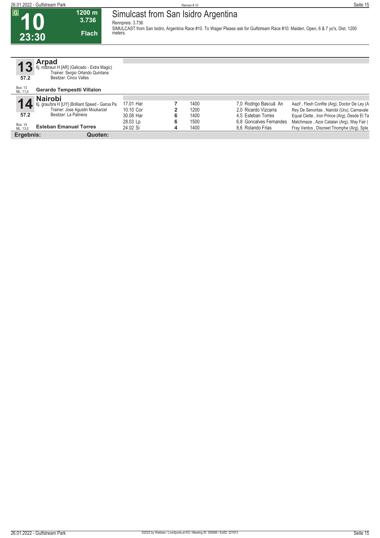### **Simulcast from San Isidro Argentina**

**Rennpreis: 3.736**

**SIMULCAST from San Isidro, Argentina Race #10. To Wager Please ask for Gulfstream Race #10. Maiden, Open, 6 & 7 yo's, Dist. 1200 meters.** 

**10 23:30**

**13**

 $\overline{G}$ 

**57.2**

| $\overline{3}$ | <b>Arpad</b><br>6j. rotbraun H [AR] (Galicado - Extra Magic)<br>Trainer: Sergio Orlando Quintana |
|----------------|--------------------------------------------------------------------------------------------------|
| 7.2            | Besitzer: Cinco Valles                                                                           |

**1200 m 3.736** 

**Flach**

#### Box: 13 ML: 11,0 **Gerardo Tempestti Villalon 14** Box: 14 ML: 13,0 **57.2 Nairobi** 6j. grau/bra H [UY] (Brilliant Speed - Garoa Pa Trainer: Jose Agustin Moukarzel Besitzer: La Palmera **Esteban Emanuel Torres** 17.01 Har **7** 1400 7,0 Rodrigo Bascuã An Aazif , Flesh Confite (Arg), Doctor De Ley (A<br>17.10 Cor **2** 1200 2.0 Ricardo Vizcarra Rey De Senoritas , Nairobi (Uru), Carnavale 10.10 Cor **2** 1200 2,0 Ricardo Vizcarra Rey De Senoritas , Nairobi (Uru), Carnavale 30.08 Har **6** 1400 4,5 Esteban Torres Equal Clette , Iron Prince (Arg), Desde El Ta<br>28.03 Lp **6** 1500 6,8 Goncalves Fernandes Matchmaze , Azor Catalan (Arg), Way Fair ( 28.03 Lp **6** 1500 6,8 Goncalves Fernandes Matchmaze , Azor Catalan (Arg), Way Fair (24.02 Si **4** 1400 8,6 Rolando Frias Fray Ventos , Discreet Triomphe (Arg), Sple Fray Ventos , Discreet Triomphe (Arg), Sple **Ergebnis: Quoten:**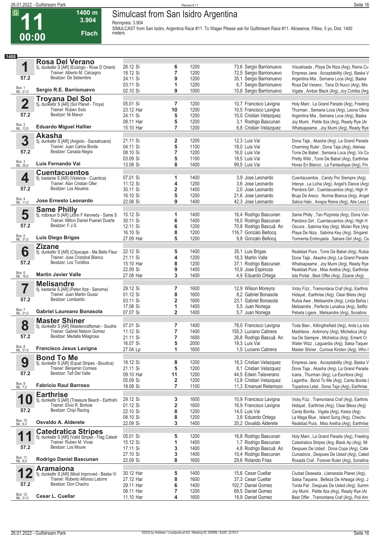# **Simulcast from San Isidro Argentina**

**Rennpreis: 3.904**

**3.904 Flach**

**1400 m**

**SIMULCAST from San Isidro, Argentina Race #11. To Wager Please ask for Gulfstream Race #11. Allowance, Fillies, 5 yo, Dist. 1400 meters.** 

| 1400                    |                                                                                   |                        |                         |              |                                                |                                                                                        |
|-------------------------|-----------------------------------------------------------------------------------|------------------------|-------------------------|--------------|------------------------------------------------|----------------------------------------------------------------------------------------|
|                         | <b>Rosa Del Verano</b>                                                            |                        |                         |              |                                                |                                                                                        |
| 1                       | 5j. dunkelbr S [AR] (Ecologo - Rose D'Orient)                                     | 26.12 Si               | 6                       | 1200         | 73,6 Sergio Barrionuevo                        | Visualisada, Playa De Niza (Arg), Reina Cu                                             |
|                         | Trainer: Alberto M. Calcagno                                                      | 18.12 Si               | $\overline{\mathbf{r}}$ | 1200         | 72,5 Sergio Barrionuevo                        | Empress Jane, Acceptability (Arg), Baska V                                             |
| 57.2                    | Besitzer: De Setiembre                                                            | 24.11 Si               | 9                       | 1200         | 35,1 Sergio Barrionuevo                        | Argentina Mia, Semana Loca (Arg), Baska                                                |
|                         |                                                                                   | 03.11 Si               | 1                       | 1200         | 6,7 Sergio Barrionuevo                         | Rosa Del Verano, Tana Di Nucci (Arg), Mis                                              |
| Box: 1<br>ML: 21,0      | Sergio R.E. Barrionuevo                                                           | 02.10 Si               | 9                       | 1000         | 10,8 Sergio Barrionuevo                        | Vigata, Ambar Black (Arg), Joy Cohiba (Arg                                             |
|                         | <b>Troyana Del Sol</b>                                                            |                        |                         |              |                                                |                                                                                        |
| $\overline{\mathbf{2}}$ | 5j. dunkelbr S [AR] (Sol Planet - Troya)                                          | 05.01 Si               | 7                       | 1200         | 10,7 Francisco Lavigna                         | Holy Mani, La Grand Parade (Arg), Freeling                                             |
|                         | Trainer: Ruben Soto                                                               | 23.12 Har              | 10                      | 1200         | 10,5 Francisco Lavigna                         | Thurman, Semana Loca (Arg), Leona Olivia                                               |
| 57.2                    | Besitzer: Ni Manor                                                                | 24.11 Si               | 5                       | 1200         | 10,0 Cristian Velazquez                        | Argentina Mia, Semana Loca (Arg), Baska                                                |
|                         |                                                                                   | 08.11 Har              | 5                       | 1200         | 3,1 Rodrigo Bascunan                           | Joy Mumi, Petite Itza (Arg), Ready Rye (Ar                                             |
| Box: 2<br>ML: 13,0      | <b>Eduardo Miguel Hallier</b>                                                     | 15.10 Har              | $\overline{7}$          | 1200         | 6,8 Cristian Velazquez                         | Whatsapeame, Joy Mumi (Arg), Ready Rye                                                 |
|                         | <b>Akasha</b>                                                                     |                        |                         |              |                                                |                                                                                        |
| 3                       | 5j. dunkelbr S [AR] (Angiolo - Sacsahuana)                                        | 21.11 Si               | $\overline{\mathbf{2}}$ | 1200         | 12,3 Luis Vai                                  | Dona Taja, Akasha (Arg), La Grand Parade                                               |
|                         | Trainer: Juan Carlos Borda                                                        | 04.11 Si               | 5                       | 1100         | 18,0 Luis Vai                                  | Charming Ruler, Dona Taja (Arg), Atenea                                                |
| 57.2                    | Besitzer: Canada Negra                                                            | 08.10 Si               | 7                       | 1200         | 16,0 Luis Vai                                  | Torre De Babel, Semana Loca (Arg), Va Co                                               |
|                         |                                                                                   | 03.09 Si               | 5                       | 1100         | 18,5 Luis Vai                                  | Pretty Wild, Torre De Babel (Arg), Earthrise                                           |
| Box: 3<br>ML: 35,0      | Luis Fernando Vai                                                                 | 13.08 Si               | 8                       | 1400         | 99,5 Luis Vai                                  | Horas En Blanco, La Fantastique (Arg), Fin                                             |
|                         | <b>Cuentacuentos</b>                                                              |                        |                         |              |                                                |                                                                                        |
| 4                       | 5j. kastanie S [AR] (Violence - Cuantica)                                         | 07.01 Si               | 1                       | 1400         | 3.9 Jose Leonardo                              | Cuentacuentos, Candy Por Siempre (Arg),                                                |
|                         | Trainer: Alan Cristian Oller                                                      | 11.12 Si               | 4                       | 1200         | 3.6 Jose Leonardo                              | Interye, La Licha (Arg), Angel's Dance (Arg)                                           |
| 57.2                    | Besitzer: Los Abuelos                                                             | 30.11 Si               | $\overline{\mathbf{2}}$ | 1400         | 2.0 Jose Leonardo                              | Pandora Girl, Cuentacuentos (Arg), High H                                              |
|                         |                                                                                   | 16.10 Si               | 5                       | 1200         | 21,6 Jose Leonardo                             | Bruja De Areco, Norma Branca (Arg), Angel                                              |
| Box: 4<br>ML: 11,0      | Jose Ernesto Leonardo                                                             | 22.08 Si               | 9                       | 1400         | 42.3 Jose Leonardo                             | Salica Halo, Avispa Reina (Arg), Abs Less (                                            |
|                         | <b>Same Philly</b>                                                                |                        |                         |              |                                                |                                                                                        |
| 5                       | 5j. rotbraun S [AR] (John F Kennedy - Same S                                      | 15.12 Si               | 1                       | 1400         | 16,4 Rodrigo Bascunan                          | Same Philly, Tan Pizpireta (Arg), Dona Van                                             |
|                         | Trainer: Milton Daniel Puerari Duarte                                             | 30.11 Si               | 6                       | 1400         | 18,0 Rodrigo Bascunan                          | Pandora Girl, Cuentacuentos (Arg), High H                                              |
| 57.2                    | Besitzer: F.J.S.                                                                  | 12.11 Si               | 6                       | 1200         | 70,8 Rodrigo Bascuã An                         | Oscura, Sabrina Key (Arg), Mulan Rye (Arg)                                             |
|                         |                                                                                   | 16.10 Si               | 8                       | 1200         | 116,7 Gonzalo Bellocq                          | Playa De Niza, Sabrina Key (Arg), Singarel                                             |
| Box: 5<br>ML: 31,0      | Luis Diego Brigas                                                                 | 27.09 Har              | 5                       | 1200         | 9,8 Gonzalo Bellocq                            | Tormenta Embrujada, Sahara Girl (Arg), Ca                                              |
|                         | <b>Zizane</b>                                                                     |                        |                         |              |                                                |                                                                                        |
| 6                       | 5j. dunkelbr S [AR] (Cityscape - Ma Belle Fleur                                   | 22.12 Si               | 5                       | 1400         | 35,1 Luis Brigas                               | Realidad Pura, Torre De Babel (Arg), Rubia                                             |
|                         | Trainer: Jose Cristobal Blanco                                                    | 21.11 Si               | 4                       | 1200         | 18,3 Martin Valle                              | Dona Taja, Akasha (Arg), La Grand Parade                                               |
| 57.2                    | Besitzer: Los Tordillos                                                           | 15.10 Har              | 8                       | 1200         | 37,1 Rodrigo Bascunan                          | Whatsapeame, Joy Mumi (Arg), Ready Rye                                                 |
|                         |                                                                                   | 22.09 Si               | 9                       | 1400         | 10,9 Jose Espinoza                             | Realidad Pura, Miss Aretha (Arg), Earthrise                                            |
| Box: 6<br>ML: 16,0      | <b>Martin Javier Valle</b>                                                        | 27.08 Har              | 3                       | 1400         | 4,9 Eduardo Ortega                             | Isla Portal, Best Offer (Arg), Zizane (Arg)                                            |
|                         | <b>Melisandre</b>                                                                 |                        |                         |              |                                                |                                                                                        |
| 7                       | 5j. kastanie S [AR] (Peten Itza - Sanoma)                                         | 29.12 Si               | 7                       | 1600         | 12,9 Wilson Moreyra                            | Vicky Fizz, Tramontana Craf (Arg), Earthris                                            |
|                         | Trainer: Juan Martin Giussi                                                       | 01.12 Si               | 8                       | 1600         | 8,2 Gabriel Bonasola                           | Hidayat, Earthrise (Arg), Clear Bless (Arg)                                            |
| 57.2                    | Besitzer: Lombardo                                                                | 03.11 Si               | $\overline{\mathbf{2}}$ | 1600         | 23.1 Gabriel Bonasola                          | Rubia Awe, Melisandre (Arg), Linda Bahia (                                             |
|                         |                                                                                   | 17.08 Si               | 1                       | 1400         | 5,5 Juan Noriega                               | Melisandre, Perfecta Lunatica (Arg), Selfitz                                           |
| Box: 7<br>ML: 21,0      | Gabriel Laureano Bonasola                                                         | 07.07 Si               | $\overline{2}$          | 1400         | 5,7 Juan Noriega                               | Pebeta Ligera, Melisandre (Arg), Sonatina                                              |
|                         | <b>Master Shiner</b>                                                              |                        |                         |              |                                                |                                                                                        |
| 8                       | 5j. dunkelbr S [AR] (Mastercraftsman - Southe                                     | 07.01 Si               | 7                       | 1400         | 78,0 Francisco Lavigna                         | Toda Bien, Killingthefield (Arg), Arde La Isla                                         |
|                         | Trainer: Gabriel Nelson Gomez                                                     | 11.12 Si               | $\overline{7}$          | 1400         | 155,3 Luciano Cabrera                          | Madrilena, Antimony (Arg), Michelica (Arg)                                             |
| 57.2                    | Besitzer: Medalla Milagrosa                                                       | 21.11 Si               | 7                       | 1600         | 26,8 Rodrigo Bascuã An                         | Isa De Siempre, Michelica (Arq), Emerit Cr                                             |
|                         | <b>Francisco Jesus Lavigna</b>                                                    | 16.07 Si               | 5                       | 2000         | 19,3 Luis Vai                                  | Water Wizz, Laguardia (Arg), Salsa Taquer                                              |
| Box: 8<br>ML: 31,0      |                                                                                   | 27.04 Lp               | 1                       | 1600         | 1,5 Luciano Cabrera                            | Master Shiner, Curiosa Kirsten (Arg), Who I                                            |
|                         | <b>Bond To Me</b>                                                                 |                        |                         |              |                                                |                                                                                        |
| 9                       | 5j. dunkelbr S [AR] (Equal Stripes - Boudica)<br>Trainer: Benjamin Correas        | 18.12 Si               | 8                       | 1200         | 18,3 Cristian Velazquez                        | Empress Jane, Acceptability (Arg), Baska V                                             |
|                         | Besitzer: Tafi Del Valle                                                          | 21.11 Si               | 5                       | 1200         | 8,1 Cristian Velazquez                         | Dona Taja, Akasha (Arg), La Grand Parade                                               |
| 57.2                    |                                                                                   | 09.10 Har              | 11                      | 1200         | 44,5 Edwin Talaverano                          | Icaria, Thurman (Arg), La Escritora (Arg)                                              |
| Box: 9<br>ML: 7,0       | <b>Fabricio Raul Barroso</b>                                                      | 05.09 Si               | 2                       | 1200         | 12,8 Cristian Velazquez                        | Lagertha, Bond To Me (Arg), Canta Bonita (                                             |
|                         |                                                                                   | 18.08 Si               | $\overline{7}$          | 1100         | 11,3 Emanuel Retamozo                          | Topadora Letal, Dona Taja (Arg), Earthrise                                             |
|                         | <b>Earthrise</b>                                                                  |                        |                         |              |                                                |                                                                                        |
| 1                       | 5j. dunkelbr S [AR] (Treasure Beach - Earthshi                                    | 29.12 Si               | 3                       | 1600         | 10,9 Francisco Lavigna                         | Vicky Fizz, Tramontana Craf (Arg), Earthris                                            |
| 57.2                    | Trainer: Elvio R. Bortule<br>Besitzer: Chipi Racing                               | 01.12 Si               | 2                       | 1600         | 16,9 Francisco Lavigna                         | Hidayat, Earthrise (Arg), Clear Bless (Arg)                                            |
|                         |                                                                                   | 22.10 Si               | 8                       | 1200         | 14,5 Luis Vai                                  | Canta Bonita, Vigata (Arg), Kesia (Arg)                                                |
| Box: 10<br>ML: 8,0      | Osvaldo A. Alderete                                                               | 08.10 Si               | 8<br>3                  | 1200         | 3.8 Eduardo Ortega                             | La Maga Blue, Island Song (Arg), Chechu                                                |
|                         |                                                                                   | 22.09 Si               |                         | 1400         | 20,2 Osvaldo Alderete                          | Realidad Pura, Miss Aretha (Arg), Earthrise                                            |
|                         | <b>Catedratica Stripes</b>                                                        |                        |                         |              |                                                |                                                                                        |
| 1                       | 5j. dunkelbr S [AR] (Valid Stripes - Flag Catedr                                  | 05.01 Si               | 5                       | 1200         | 16,8 Rodrigo Bascunan                          | Holy Mani, La Grand Parade (Arg), Freeling                                             |
| 57.2                    | Trainer: Ruben M. Vivas<br>Besitzer: Los Moure                                    | 15.12 Si               | 1                       | 1400         | 1,7 Rodrigo Bascunan                           | Catedratica Stripes (Arg, Black Ap (Arg), Mi                                           |
|                         |                                                                                   | 17.11 Si<br>27.10 Si   | 3<br>3                  | 1400<br>1400 | 4,8 Rodrigo Bascuã An<br>10,4 Rodrigo Bascunan | Despues De Usted, Dona Copa (Arg), Cate                                                |
| Box: 11<br>ML: 9,0      | Rodrigo Daniel Bascunan                                                           | 22.09 Si               | 8                       | 1600         | 29,6 Rolando Frias                             | Cursadora, Despues De Usted (Arg), Cated<br>Rosada Craf, Forever Ruler (Arg), Sonatina |
|                         |                                                                                   |                        |                         |              |                                                |                                                                                        |
| 1                       | <b>Aramaiona</b>                                                                  |                        |                         |              |                                                |                                                                                        |
| Z                       | 5j. dunkelbr S [AR] (Most Improved - Baska Vi<br>Trainer: Roberto Alfonso Latorre | 30.12 Har              | 5                       | 1400         | 15,6 Cesar Cuellar                             | Ciudad Deseada, Llamarada Planet (Arg),                                                |
| 57.2                    | Besitzer: Don Chacho                                                              | 27.12 Har<br>29.11 Har | 8                       | 1600<br>1400 | 37,3 Cesar Cuellar                             | Salsa Taquera, Belleza De Arteaga (Arg), J                                             |
|                         |                                                                                   | 08.11 Har              | 6<br>7                  | 1200         | 102,7 Daniel Gomez<br>69,5 Daniel Gomez        | Torda Pat, Despues De Usted (Arg), Summ                                                |
|                         |                                                                                   |                        |                         |              |                                                | Joy Mumi, Petite Itza (Arg), Ready Rye (Ar                                             |
| Box: 12<br>ML: 31,0     | Cesar L. Cuellar                                                                  | 11.10 Har              | 4                       | 1600         | 19,9 Daniel Gomez                              | Best Offer, Tramontana Craf (Arg), Poli Am                                             |



 $\overline{G}$